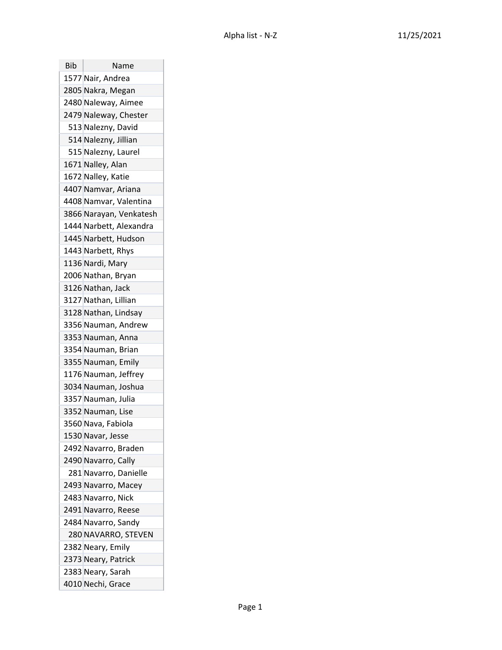| Bib | Name                    |
|-----|-------------------------|
|     | 1577 Nair, Andrea       |
|     | 2805 Nakra, Megan       |
|     | 2480 Naleway, Aimee     |
|     | 2479 Naleway, Chester   |
|     | 513 Nalezny, David      |
|     | 514 Nalezny, Jillian    |
|     | 515 Nalezny, Laurel     |
|     | 1671 Nalley, Alan       |
|     | 1672 Nalley, Katie      |
|     | 4407 Namvar, Ariana     |
|     | 4408 Namvar, Valentina  |
|     | 3866 Narayan, Venkatesh |
|     | 1444 Narbett, Alexandra |
|     | 1445 Narbett, Hudson    |
|     | 1443 Narbett, Rhys      |
|     | 1136 Nardi, Mary        |
|     | 2006 Nathan, Bryan      |
|     | 3126 Nathan, Jack       |
|     | 3127 Nathan, Lillian    |
|     | 3128 Nathan, Lindsay    |
|     | 3356 Nauman, Andrew     |
|     | 3353 Nauman, Anna       |
|     | 3354 Nauman, Brian      |
|     | 3355 Nauman, Emily      |
|     | 1176 Nauman, Jeffrey    |
|     | 3034 Nauman, Joshua     |
|     | 3357 Nauman, Julia      |
|     | 3352 Nauman, Lise       |
|     | 3560 Nava, Fabiola      |
|     | 1530 Navar, Jesse       |
|     | 2492 Navarro, Braden    |
|     | 2490 Navarro, Cally     |
|     | 281 Navarro, Danielle   |
|     | 2493 Navarro, Macey     |
|     | 2483 Navarro, Nick      |
|     | 2491 Navarro, Reese     |
|     | 2484 Navarro, Sandy     |
|     | 280 NAVARRO, STEVEN     |
|     | 2382 Neary, Emily       |
|     | 2373 Neary, Patrick     |
|     | 2383 Neary, Sarah       |
|     | 4010 Nechi, Grace       |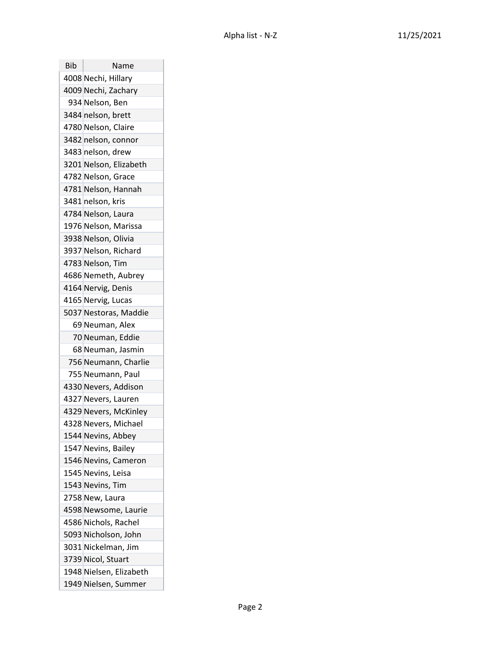| Bib | Name                    |
|-----|-------------------------|
|     | 4008 Nechi, Hillary     |
|     | 4009 Nechi, Zachary     |
|     | 934 Nelson, Ben         |
|     | 3484 nelson, brett      |
|     | 4780 Nelson, Claire     |
|     | 3482 nelson, connor     |
|     | 3483 nelson, drew       |
|     | 3201 Nelson, Elizabeth  |
|     | 4782 Nelson, Grace      |
|     | 4781 Nelson, Hannah     |
|     | 3481 nelson, kris       |
|     | 4784 Nelson, Laura      |
|     | 1976 Nelson, Marissa    |
|     | 3938 Nelson, Olivia     |
|     | 3937 Nelson, Richard    |
|     | 4783 Nelson, Tim        |
|     | 4686 Nemeth, Aubrey     |
|     | 4164 Nervig, Denis      |
|     | 4165 Nervig, Lucas      |
|     | 5037 Nestoras, Maddie   |
|     | 69 Neuman, Alex         |
|     | 70 Neuman, Eddie        |
|     | 68 Neuman, Jasmin       |
|     | 756 Neumann, Charlie    |
|     | 755 Neumann, Paul       |
|     | 4330 Nevers, Addison    |
|     | 4327 Nevers, Lauren     |
|     | 4329 Nevers, McKinley   |
|     | 4328 Nevers, Michael    |
|     | 1544 Nevins, Abbey      |
|     | 1547 Nevins, Bailey     |
|     | 1546 Nevins, Cameron    |
|     | 1545 Nevins, Leisa      |
|     | 1543 Nevins, Tim        |
|     | 2758 New, Laura         |
|     | 4598 Newsome, Laurie    |
|     | 4586 Nichols, Rachel    |
|     | 5093 Nicholson, John    |
|     | 3031 Nickelman, Jim     |
|     | 3739 Nicol, Stuart      |
|     | 1948 Nielsen, Elizabeth |
|     | 1949 Nielsen, Summer    |

T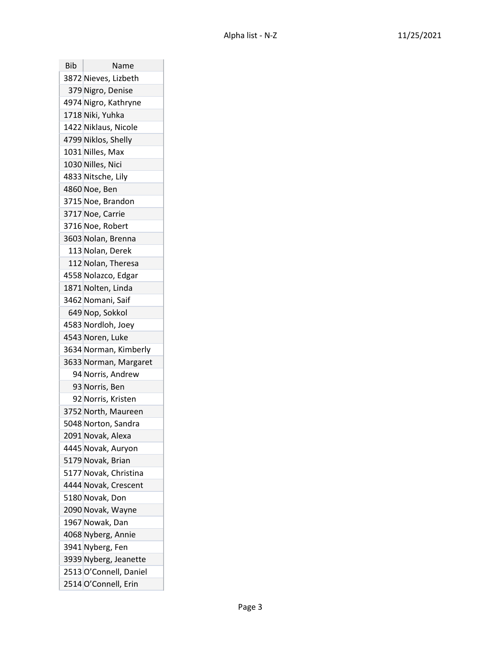| Bib | Name                   |
|-----|------------------------|
|     | 3872 Nieves, Lizbeth   |
|     | 379 Nigro, Denise      |
|     | 4974 Nigro, Kathryne   |
|     | 1718 Niki, Yuhka       |
|     | 1422 Niklaus, Nicole   |
|     | 4799 Niklos, Shelly    |
|     | 1031 Nilles, Max       |
|     | 1030 Nilles, Nici      |
|     | 4833 Nitsche, Lily     |
|     | 4860 Noe, Ben          |
|     | 3715 Noe, Brandon      |
|     | 3717 Noe, Carrie       |
|     | 3716 Noe, Robert       |
|     | 3603 Nolan, Brenna     |
|     | 113 Nolan, Derek       |
|     | 112 Nolan, Theresa     |
|     | 4558 Nolazco, Edgar    |
|     | 1871 Nolten, Linda     |
|     | 3462 Nomani, Saif      |
|     | 649 Nop, Sokkol        |
|     | 4583 Nordloh, Joey     |
|     | 4543 Noren, Luke       |
|     | 3634 Norman, Kimberly  |
|     | 3633 Norman, Margaret  |
|     | 94 Norris, Andrew      |
|     | 93 Norris, Ben         |
|     | 92 Norris, Kristen     |
|     | 3752 North, Maureen    |
|     | 5048 Norton, Sandra    |
|     | 2091 Novak, Alexa      |
|     | 4445 Novak, Auryon     |
|     | 5179 Novak, Brian      |
|     | 5177 Novak, Christina  |
|     | 4444 Novak, Crescent   |
|     | 5180 Novak, Don        |
|     | 2090 Novak, Wayne      |
|     | 1967 Nowak, Dan        |
|     | 4068 Nyberg, Annie     |
|     | 3941 Nyberg, Fen       |
|     | 3939 Nyberg, Jeanette  |
|     | 2513 O'Connell, Daniel |
|     | 2514 O'Connell, Erin   |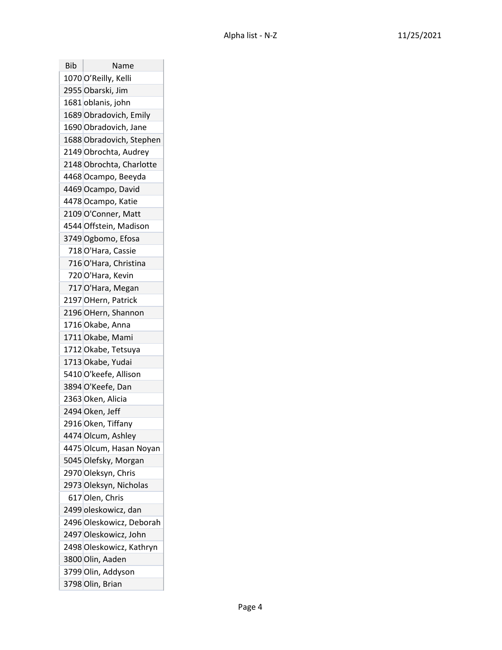| Bib | Name                     |
|-----|--------------------------|
|     | 1070 O'Reilly, Kelli     |
|     | 2955 Obarski, Jim        |
|     | 1681 oblanis, john       |
|     | 1689 Obradovich, Emily   |
|     | 1690 Obradovich, Jane    |
|     | 1688 Obradovich, Stephen |
|     | 2149 Obrochta, Audrey    |
|     | 2148 Obrochta, Charlotte |
|     | 4468 Ocampo, Beeyda      |
|     | 4469 Ocampo, David       |
|     | 4478 Ocampo, Katie       |
|     | 2109 O'Conner, Matt      |
|     | 4544 Offstein, Madison   |
|     | 3749 Ogbomo, Efosa       |
|     | 718 O'Hara, Cassie       |
|     | 716 O'Hara, Christina    |
|     | 720 O'Hara, Kevin        |
|     | 717 O'Hara, Megan        |
|     | 2197 OHern, Patrick      |
|     | 2196 OHern, Shannon      |
|     | 1716 Okabe, Anna         |
|     | 1711 Okabe, Mami         |
|     | 1712 Okabe, Tetsuya      |
|     | 1713 Okabe, Yudai        |
|     | 5410 O'keefe, Allison    |
|     | 3894 O'Keefe, Dan        |
|     | 2363 Oken, Alicia        |
|     | 2494 Oken, Jeff          |
|     | 2916 Oken, Tiffany       |
|     | 4474 Olcum, Ashley       |
|     | 4475 Olcum, Hasan Noyan  |
|     | 5045 Olefsky, Morgan     |
|     | 2970 Oleksyn, Chris      |
|     | 2973 Oleksyn, Nicholas   |
|     | 617 Olen, Chris          |
|     | 2499 oleskowicz, dan     |
|     | 2496 Oleskowicz, Deborah |
|     | 2497 Oleskowicz, John    |
|     | 2498 Oleskowicz, Kathryn |
|     | 3800 Olin, Aaden         |
|     | 3799 Olin, Addyson       |
|     | 3798 Olin, Brian         |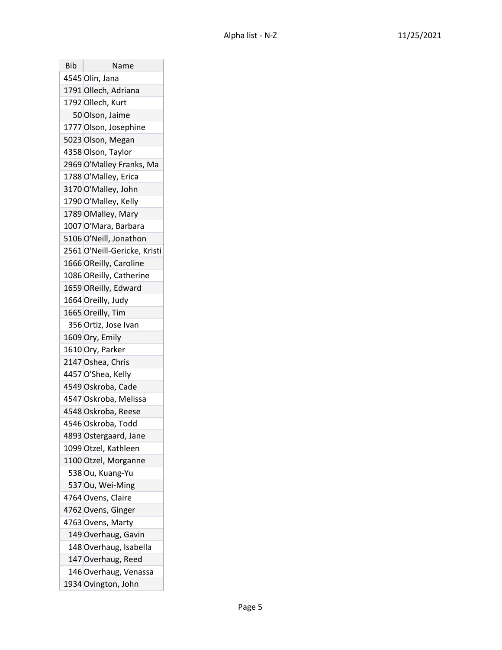| Bib | Name                         |
|-----|------------------------------|
|     | 4545 Olin, Jana              |
|     | 1791 Ollech, Adriana         |
|     | 1792 Ollech, Kurt            |
|     | 50 Olson, Jaime              |
|     | 1777 Olson, Josephine        |
|     | 5023 Olson, Megan            |
|     | 4358 Olson, Taylor           |
|     | 2969 O'Malley Franks, Ma     |
|     | 1788 O'Malley, Erica         |
|     | 3170 O'Malley, John          |
|     | 1790 O'Malley, Kelly         |
|     | 1789 OMalley, Mary           |
|     | 1007 O'Mara, Barbara         |
|     | 5106 O'Neill, Jonathon       |
|     | 2561 O'Neill-Gericke, Kristi |
|     | 1666 OReilly, Caroline       |
|     | 1086 OReilly, Catherine      |
|     | 1659 OReilly, Edward         |
|     | 1664 Oreilly, Judy           |
|     | 1665 Oreilly, Tim            |
|     | 356 Ortiz, Jose Ivan         |
|     | 1609 Ory, Emily              |
|     | 1610 Ory, Parker             |
|     | 2147 Oshea, Chris            |
|     | 4457 O'Shea, Kelly           |
|     | 4549 Oskroba, Cade           |
|     | 4547 Oskroba, Melissa        |
|     | 4548 Oskroba, Reese          |
|     | 4546 Oskroba, Todd           |
|     | 4893 Ostergaard, Jane        |
|     | 1099 Otzel, Kathleen         |
|     | 1100 Otzel, Morganne         |
|     | 538 Ou, Kuang-Yu             |
|     | 537 Ou, Wei-Ming             |
|     | 4764 Ovens, Claire           |
|     | 4762 Ovens, Ginger           |
|     | 4763 Ovens, Marty            |
|     | 149 Overhaug, Gavin          |
|     | 148 Overhaug, Isabella       |
|     | 147 Overhaug, Reed           |
|     | 146 Overhaug, Venassa        |
|     | 1934 Ovington, John          |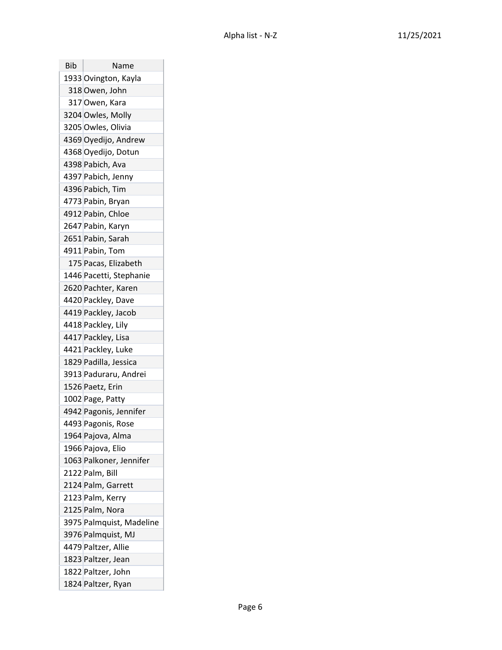| Bib | Name                     |
|-----|--------------------------|
|     | 1933 Ovington, Kayla     |
|     | 318 Owen, John           |
|     | 317 Owen, Kara           |
|     | 3204 Owles, Molly        |
|     | 3205 Owles, Olivia       |
|     | 4369 Oyedijo, Andrew     |
|     | 4368 Oyedijo, Dotun      |
|     | 4398 Pabich, Ava         |
|     | 4397 Pabich, Jenny       |
|     | 4396 Pabich, Tim         |
|     | 4773 Pabin, Bryan        |
|     | 4912 Pabin, Chloe        |
|     | 2647 Pabin, Karyn        |
|     | 2651 Pabin, Sarah        |
|     | 4911 Pabin, Tom          |
|     | 175 Pacas, Elizabeth     |
|     | 1446 Pacetti, Stephanie  |
|     | 2620 Pachter, Karen      |
|     | 4420 Packley, Dave       |
|     | 4419 Packley, Jacob      |
|     | 4418 Packley, Lily       |
|     | 4417 Packley, Lisa       |
|     | 4421 Packley, Luke       |
|     | 1829 Padilla, Jessica    |
|     | 3913 Paduraru, Andrei    |
|     | 1526 Paetz, Erin         |
|     | 1002 Page, Patty         |
|     | 4942 Pagonis, Jennifer   |
|     | 4493 Pagonis, Rose       |
|     | 1964 Pajova, Alma        |
|     | 1966 Pajova, Elio        |
|     | 1063 Palkoner, Jennifer  |
|     | 2122 Palm, Bill          |
|     | 2124 Palm, Garrett       |
|     | 2123 Palm, Kerry         |
|     | 2125 Palm, Nora          |
|     | 3975 Palmquist, Madeline |
|     | 3976 Palmquist, MJ       |
|     | 4479 Paltzer, Allie      |
|     | 1823 Paltzer, Jean       |
|     | 1822 Paltzer, John       |
|     | 1824 Paltzer, Ryan       |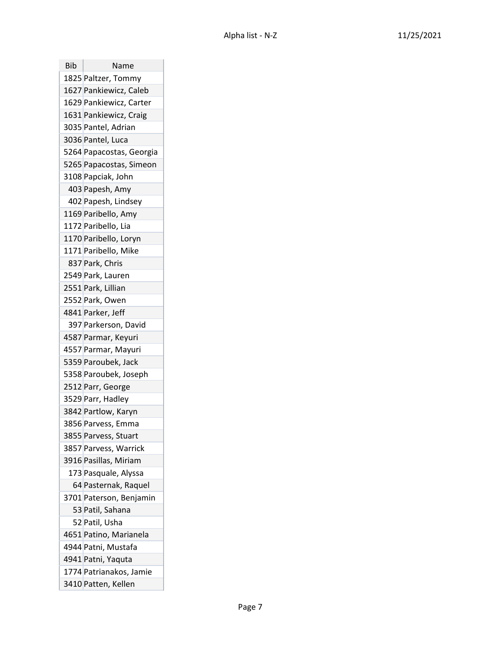| Bib | Name                     |
|-----|--------------------------|
|     | 1825 Paltzer, Tommy      |
|     | 1627 Pankiewicz, Caleb   |
|     | 1629 Pankiewicz, Carter  |
|     | 1631 Pankiewicz, Craig   |
|     | 3035 Pantel, Adrian      |
|     | 3036 Pantel, Luca        |
|     | 5264 Papacostas, Georgia |
|     | 5265 Papacostas, Simeon  |
|     | 3108 Papciak, John       |
|     | 403 Papesh, Amy          |
|     | 402 Papesh, Lindsey      |
|     | 1169 Paribello, Amy      |
|     | 1172 Paribello, Lia      |
|     | 1170 Paribello, Loryn    |
|     | 1171 Paribello, Mike     |
|     | 837 Park, Chris          |
|     | 2549 Park, Lauren        |
|     | 2551 Park, Lillian       |
|     | 2552 Park, Owen          |
|     | 4841 Parker, Jeff        |
|     | 397 Parkerson, David     |
|     | 4587 Parmar, Keyuri      |
|     | 4557 Parmar, Mayuri      |
|     | 5359 Paroubek, Jack      |
|     | 5358 Paroubek, Joseph    |
|     | 2512 Parr, George        |
|     | 3529 Parr, Hadley        |
|     | 3842 Partlow, Karyn      |
|     | 3856 Parvess, Emma       |
|     | 3855 Parvess, Stuart     |
|     | 3857 Parvess, Warrick    |
|     | 3916 Pasillas, Miriam    |
|     | 173 Pasquale, Alyssa     |
|     | 64 Pasternak, Raquel     |
|     | 3701 Paterson, Benjamin  |
|     | 53 Patil, Sahana         |
|     | 52 Patil, Usha           |
|     | 4651 Patino, Marianela   |
|     | 4944 Patni, Mustafa      |
|     | 4941 Patni, Yaquta       |
|     | 1774 Patrianakos, Jamie  |
|     | 3410 Patten, Kellen      |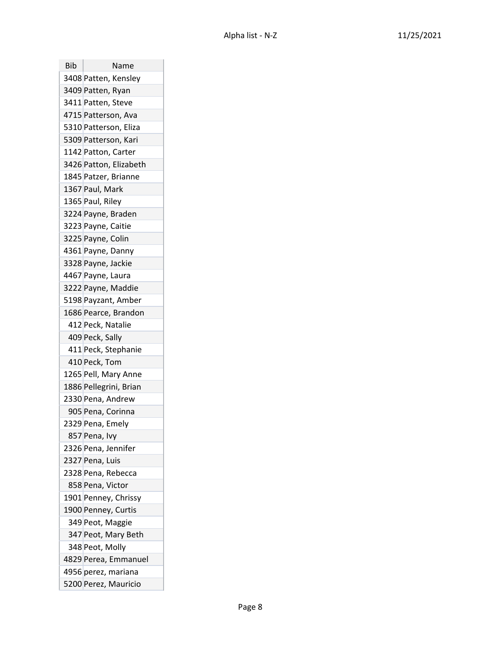| Bib | Name                   |
|-----|------------------------|
|     | 3408 Patten, Kensley   |
|     | 3409 Patten, Ryan      |
|     | 3411 Patten, Steve     |
|     | 4715 Patterson, Ava    |
|     | 5310 Patterson, Eliza  |
|     | 5309 Patterson, Kari   |
|     | 1142 Patton, Carter    |
|     | 3426 Patton, Elizabeth |
|     | 1845 Patzer, Brianne   |
|     | 1367 Paul, Mark        |
|     | 1365 Paul, Riley       |
|     | 3224 Payne, Braden     |
|     | 3223 Payne, Caitie     |
|     | 3225 Payne, Colin      |
|     | 4361 Payne, Danny      |
|     | 3328 Payne, Jackie     |
|     | 4467 Payne, Laura      |
|     | 3222 Payne, Maddie     |
|     | 5198 Payzant, Amber    |
|     | 1686 Pearce, Brandon   |
|     | 412 Peck, Natalie      |
|     | 409 Peck, Sally        |
|     | 411 Peck, Stephanie    |
|     | 410 Peck, Tom          |
|     | 1265 Pell, Mary Anne   |
|     | 1886 Pellegrini, Brian |
|     | 2330 Pena, Andrew      |
|     | 905 Pena, Corinna      |
|     | 2329 Pena, Emely       |
|     | 857 Pena, Ivy          |
|     | 2326 Pena, Jennifer    |
|     | 2327 Pena, Luis        |
|     | 2328 Pena, Rebecca     |
|     | 858 Pena, Victor       |
|     | 1901 Penney, Chrissy   |
|     | 1900 Penney, Curtis    |
|     | 349 Peot, Maggie       |
|     | 347 Peot, Mary Beth    |
|     | 348 Peot, Molly        |
|     | 4829 Perea, Emmanuel   |
|     | 4956 perez, mariana    |
|     | 5200 Perez, Mauricio   |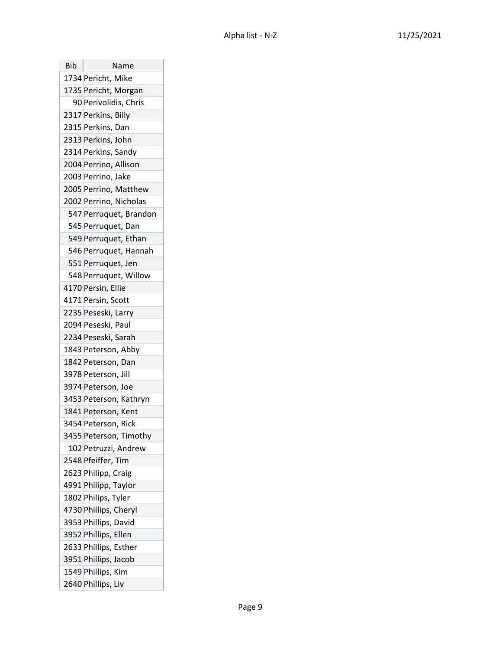| Bib | Name                   |
|-----|------------------------|
|     | 1734 Pericht, Mike     |
|     | 1735 Pericht, Morgan   |
|     | 90 Perivolidis, Chris  |
|     | 2317 Perkins, Billy    |
|     | 2315 Perkins, Dan      |
|     | 2313 Perkins, John     |
|     | 2314 Perkins, Sandy    |
|     | 2004 Perrino, Allison  |
|     | 2003 Perrino, Jake     |
|     | 2005 Perrino, Matthew  |
|     | 2002 Perrino, Nicholas |
|     | 547 Perruquet, Brandon |
|     | 545 Perruquet, Dan     |
|     | 549 Perruquet, Ethan   |
|     | 546 Perruquet, Hannah  |
|     | 551 Perruquet, Jen     |
|     | 548 Perruquet, Willow  |
|     | 4170 Persin, Ellie     |
|     | 4171 Persin, Scott     |
|     | 2235 Peseski, Larry    |
|     | 2094 Peseski, Paul     |
|     | 2234 Peseski, Sarah    |
|     | 1843 Peterson, Abby    |
|     | 1842 Peterson, Dan     |
|     | 3978 Peterson, Jill    |
|     | 3974 Peterson, Joe     |
|     | 3453 Peterson, Kathryn |
|     | 1841 Peterson, Kent    |
|     | 3454 Peterson, Rick    |
|     | 3455 Peterson, Timothy |
|     | 102 Petruzzi, Andrew   |
|     | 2548 Pfeiffer, Tim     |
|     | 2623 Philipp, Craig    |
|     | 4991 Philipp, Taylor   |
|     | 1802 Philips, Tyler    |
|     | 4730 Phillips, Cheryl  |
|     | 3953 Phillips, David   |
|     | 3952 Phillips, Ellen   |
|     | 2633 Phillips, Esther  |
|     | 3951 Phillips, Jacob   |
|     | 1549 Phillips, Kim     |
|     | 2640 Phillips, Liv     |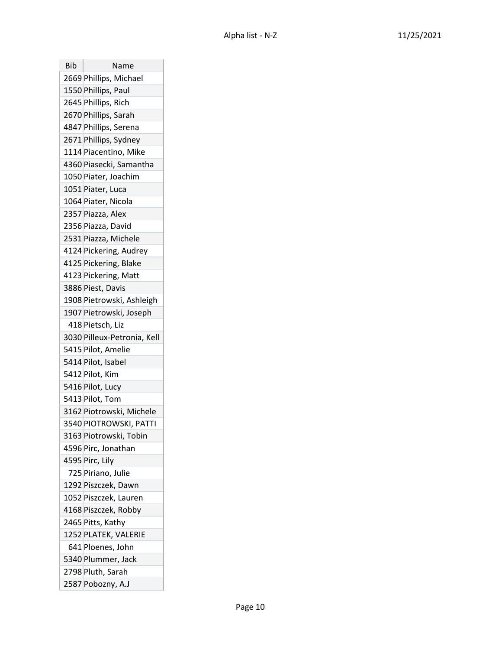| Bib | Name                        |
|-----|-----------------------------|
|     | 2669 Phillips, Michael      |
|     | 1550 Phillips, Paul         |
|     | 2645 Phillips, Rich         |
|     | 2670 Phillips, Sarah        |
|     | 4847 Phillips, Serena       |
|     | 2671 Phillips, Sydney       |
|     | 1114 Piacentino, Mike       |
|     | 4360 Piasecki, Samantha     |
|     | 1050 Piater, Joachim        |
|     | 1051 Piater, Luca           |
|     | 1064 Piater, Nicola         |
|     | 2357 Piazza, Alex           |
|     | 2356 Piazza, David          |
|     | 2531 Piazza, Michele        |
|     | 4124 Pickering, Audrey      |
|     | 4125 Pickering, Blake       |
|     | 4123 Pickering, Matt        |
|     | 3886 Piest, Davis           |
|     | 1908 Pietrowski, Ashleigh   |
|     | 1907 Pietrowski, Joseph     |
|     | 418 Pietsch, Liz            |
|     | 3030 Pilleux-Petronia, Kell |
|     | 5415 Pilot, Amelie          |
|     | 5414 Pilot, Isabel          |
|     | 5412 Pilot, Kim             |
|     | 5416 Pilot, Lucy            |
|     | 5413 Pilot, Tom             |
|     | 3162 Piotrowski, Michele    |
|     | 3540 PIOTROWSKI, PATTI      |
|     | 3163 Piotrowski, Tobin      |
|     | 4596 Pirc, Jonathan         |
|     | 4595 Pirc, Lily             |
|     | 725 Piriano, Julie          |
|     | 1292 Piszczek, Dawn         |
|     | 1052 Piszczek, Lauren       |
|     | 4168 Piszczek, Robby        |
|     | 2465 Pitts, Kathy           |
|     | 1252 PLATEK, VALERIE        |
|     | 641 Ploenes, John           |
|     | 5340 Plummer, Jack          |
|     | 2798 Pluth, Sarah           |
|     | 2587 Pobozny, A.J           |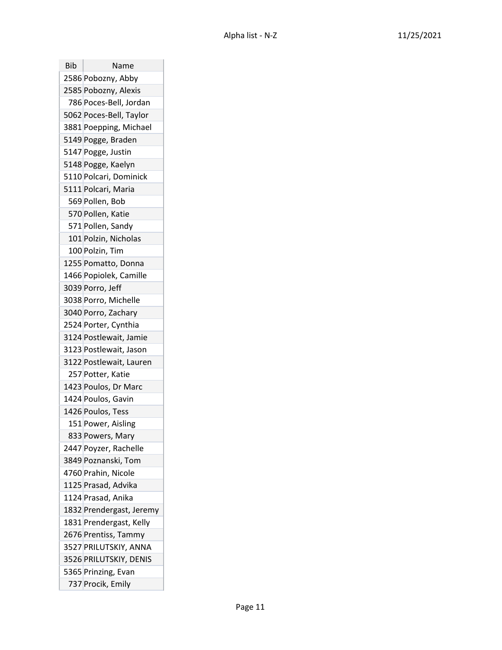| Bib | Name                     |
|-----|--------------------------|
|     | 2586 Pobozny, Abby       |
|     | 2585 Pobozny, Alexis     |
|     | 786 Poces-Bell, Jordan   |
|     | 5062 Poces-Bell, Taylor  |
|     | 3881 Poepping, Michael   |
|     | 5149 Pogge, Braden       |
|     | 5147 Pogge, Justin       |
|     | 5148 Pogge, Kaelyn       |
|     | 5110 Polcari, Dominick   |
|     | 5111 Polcari, Maria      |
|     | 569 Pollen, Bob          |
|     | 570 Pollen, Katie        |
|     | 571 Pollen, Sandy        |
|     | 101 Polzin, Nicholas     |
|     | 100 Polzin, Tim          |
|     | 1255 Pomatto, Donna      |
|     | 1466 Popiolek, Camille   |
|     | 3039 Porro, Jeff         |
|     | 3038 Porro, Michelle     |
|     | 3040 Porro, Zachary      |
|     | 2524 Porter, Cynthia     |
|     | 3124 Postlewait, Jamie   |
|     | 3123 Postlewait, Jason   |
|     | 3122 Postlewait, Lauren  |
|     | 257 Potter, Katie        |
|     | 1423 Poulos, Dr Marc     |
|     | 1424 Poulos, Gavin       |
|     | 1426 Poulos, Tess        |
|     | 151 Power, Aisling       |
|     | 833 Powers, Mary         |
|     | 2447 Poyzer, Rachelle    |
|     | 3849 Poznanski, Tom      |
|     | 4760 Prahin, Nicole      |
|     | 1125 Prasad, Advika      |
|     | 1124 Prasad, Anika       |
|     | 1832 Prendergast, Jeremy |
|     | 1831 Prendergast, Kelly  |
|     | 2676 Prentiss, Tammy     |
|     | 3527 PRILUTSKIY, ANNA    |
|     | 3526 PRILUTSKIY, DENIS   |
|     | 5365 Prinzing, Evan      |
|     | 737 Procik, Emily        |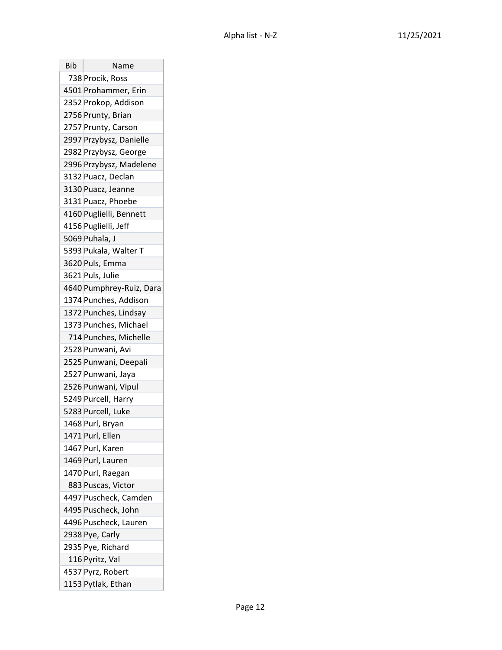| Bib | Name                     |
|-----|--------------------------|
|     | 738 Procik, Ross         |
|     | 4501 Prohammer, Erin     |
|     | 2352 Prokop, Addison     |
|     | 2756 Prunty, Brian       |
|     | 2757 Prunty, Carson      |
|     | 2997 Przybysz, Danielle  |
|     | 2982 Przybysz, George    |
|     | 2996 Przybysz, Madelene  |
|     | 3132 Puacz, Declan       |
|     | 3130 Puacz, Jeanne       |
|     | 3131 Puacz, Phoebe       |
|     | 4160 Puglielli, Bennett  |
|     | 4156 Puglielli, Jeff     |
|     | 5069 Puhala, J           |
|     | 5393 Pukala, Walter T    |
|     | 3620 Puls, Emma          |
|     | 3621 Puls, Julie         |
|     | 4640 Pumphrey-Ruiz, Dara |
|     | 1374 Punches, Addison    |
|     | 1372 Punches, Lindsay    |
|     | 1373 Punches, Michael    |
|     | 714 Punches, Michelle    |
|     | 2528 Punwani, Avi        |
|     | 2525 Punwani, Deepali    |
|     | 2527 Punwani, Jaya       |
|     | 2526 Punwani, Vipul      |
|     | 5249 Purcell, Harry      |
|     | 5283 Purcell, Luke       |
|     | 1468 Purl, Bryan         |
|     | 1471 Purl, Ellen         |
|     | 1467 Purl, Karen         |
|     | 1469 Purl, Lauren        |
|     | 1470 Purl, Raegan        |
|     | 883 Puscas, Victor       |
|     | 4497 Puscheck, Camden    |
|     | 4495 Puscheck, John      |
|     | 4496 Puscheck, Lauren    |
|     | 2938 Pye, Carly          |
|     | 2935 Pye, Richard        |
|     | 116 Pyritz, Val          |
|     | 4537 Pyrz, Robert        |
|     | 1153 Pytlak, Ethan       |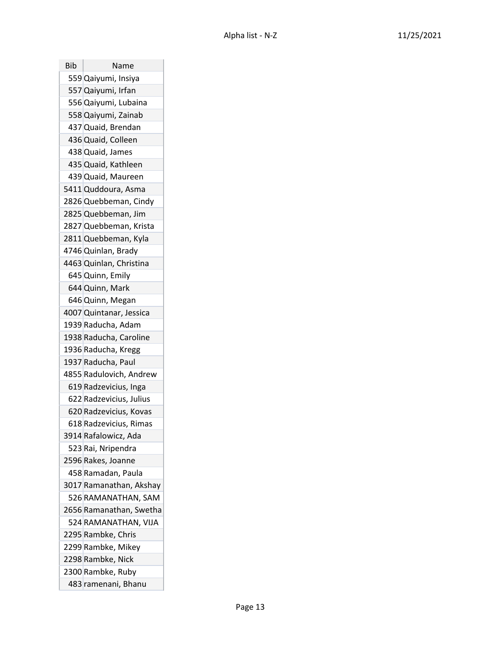| <b>Bib</b> | Name                    |
|------------|-------------------------|
|            | 559 Qaiyumi, Insiya     |
|            | 557 Qaiyumi, Irfan      |
|            | 556 Qaiyumi, Lubaina    |
|            | 558 Qaiyumi, Zainab     |
|            | 437 Quaid, Brendan      |
|            | 436 Quaid, Colleen      |
|            | 438 Quaid, James        |
|            | 435 Quaid, Kathleen     |
|            | 439 Quaid, Maureen      |
|            | 5411 Quddoura, Asma     |
|            | 2826 Quebbeman, Cindy   |
|            | 2825 Quebbeman, Jim     |
|            | 2827 Quebbeman, Krista  |
|            | 2811 Quebbeman, Kyla    |
|            | 4746 Quinlan, Brady     |
|            | 4463 Quinlan, Christina |
|            | 645 Quinn, Emily        |
|            | 644 Quinn, Mark         |
|            | 646 Quinn, Megan        |
|            | 4007 Quintanar, Jessica |
|            | 1939 Raducha, Adam      |
|            | 1938 Raducha, Caroline  |
|            | 1936 Raducha, Kregg     |
|            | 1937 Raducha, Paul      |
|            | 4855 Radulovich, Andrew |
|            | 619 Radzevicius, Inga   |
|            | 622 Radzevicius, Julius |
|            | 620 Radzevicius, Kovas  |
|            | 618 Radzevicius, Rimas  |
|            | 3914 Rafalowicz, Ada    |
|            | 523 Rai, Nripendra      |
|            | 2596 Rakes, Joanne      |
|            | 458 Ramadan, Paula      |
|            | 3017 Ramanathan, Akshay |
|            | 526 RAMANATHAN, SAM     |
|            | 2656 Ramanathan, Swetha |
|            | 524 RAMANATHAN, VIJA    |
|            | 2295 Rambke, Chris      |
|            | 2299 Rambke, Mikey      |
|            | 2298 Rambke, Nick       |
|            | 2300 Rambke, Ruby       |
|            | 483 ramenani, Bhanu     |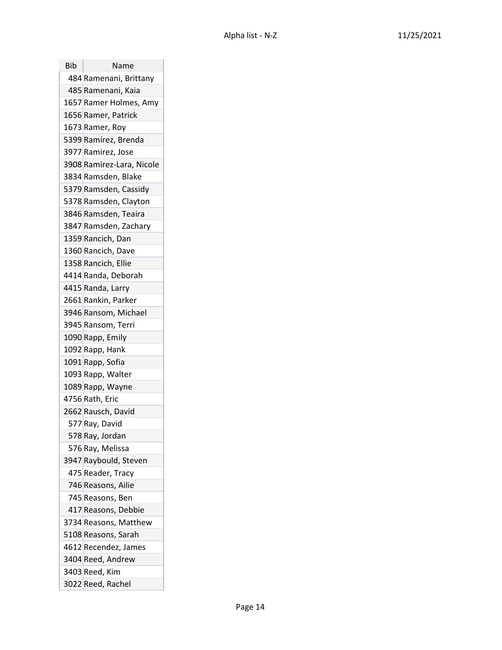| <b>Bib</b> | Name                      |
|------------|---------------------------|
|            | 484 Ramenani, Brittany    |
|            | 485 Ramenani, Kaia        |
|            | 1657 Ramer Holmes, Amy    |
|            | 1656 Ramer, Patrick       |
|            | 1673 Ramer, Roy           |
|            | 5399 Ramírez, Brenda      |
|            | 3977 Ramirez, Jose        |
|            | 3908 Ramirez-Lara, Nicole |
|            | 3834 Ramsden, Blake       |
|            | 5379 Ramsden, Cassidy     |
|            | 5378 Ramsden, Clayton     |
|            | 3846 Ramsden, Teaira      |
|            | 3847 Ramsden, Zachary     |
|            | 1359 Rancich, Dan         |
|            | 1360 Rancich, Dave        |
|            | 1358 Rancich, Ellie       |
|            | 4414 Randa, Deborah       |
|            | 4415 Randa, Larry         |
|            | 2661 Rankin, Parker       |
|            | 3946 Ransom, Michael      |
|            | 3945 Ransom, Terri        |
|            | 1090 Rapp, Emily          |
|            | 1092 Rapp, Hank           |
|            | 1091 Rapp, Sofia          |
|            | 1093 Rapp, Walter         |
|            | 1089 Rapp, Wayne          |
|            | 4756 Rath, Eric           |
|            | 2662 Rausch, David        |
|            | 577 Ray, David            |
|            | 578 Ray, Jordan           |
|            | 576 Ray, Melissa          |
|            | 3947 Raybould, Steven     |
|            | 475 Reader, Tracy         |
|            | 746 Reasons, Ailie        |
|            | 745 Reasons, Ben          |
|            | 417 Reasons, Debbie       |
|            | 3734 Reasons, Matthew     |
|            | 5108 Reasons, Sarah       |
|            | 4612 Recendez, James      |
|            | 3404 Reed, Andrew         |
|            | 3403 Reed, Kim            |
|            | 3022 Reed, Rachel         |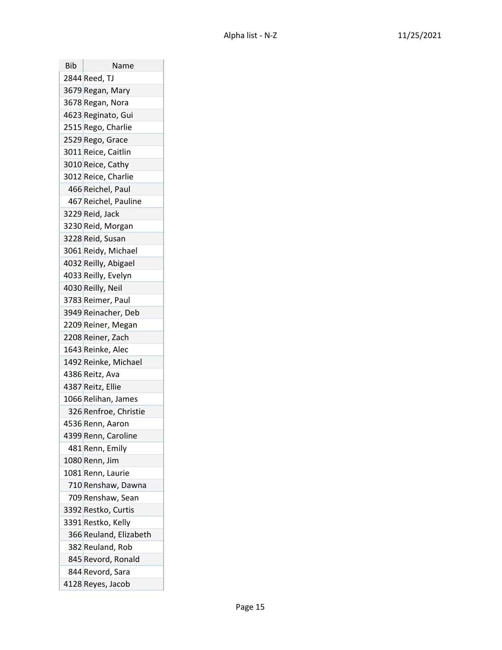| Bib | Name                   |
|-----|------------------------|
|     | 2844 Reed, TJ          |
|     | 3679 Regan, Mary       |
|     | 3678 Regan, Nora       |
|     | 4623 Reginato, Gui     |
|     | 2515 Rego, Charlie     |
|     | 2529 Rego, Grace       |
|     | 3011 Reice, Caitlin    |
|     | 3010 Reice, Cathy      |
|     | 3012 Reice, Charlie    |
|     | 466 Reichel, Paul      |
|     | 467 Reichel, Pauline   |
|     | 3229 Reid, Jack        |
|     | 3230 Reid, Morgan      |
|     | 3228 Reid, Susan       |
|     | 3061 Reidy, Michael    |
|     | 4032 Reilly, Abigael   |
|     | 4033 Reilly, Evelyn    |
|     | 4030 Reilly, Neil      |
|     | 3783 Reimer, Paul      |
|     | 3949 Reinacher, Deb    |
|     | 2209 Reiner, Megan     |
|     | 2208 Reiner, Zach      |
|     | 1643 Reinke, Alec      |
|     | 1492 Reinke, Michael   |
|     | 4386 Reitz, Ava        |
|     | 4387 Reitz, Ellie      |
|     | 1066 Relihan, James    |
|     | 326 Renfroe, Christie  |
|     | 4536 Renn, Aaron       |
|     | 4399 Renn, Caroline    |
|     | 481 Renn, Emily        |
|     | 1080 Renn, Jim         |
|     | 1081 Renn, Laurie      |
|     | 710 Renshaw, Dawna     |
|     | 709 Renshaw, Sean      |
|     | 3392 Restko, Curtis    |
|     | 3391 Restko, Kelly     |
|     | 366 Reuland, Elizabeth |
|     | 382 Reuland, Rob       |
|     | 845 Revord, Ronald     |
|     | 844 Revord, Sara       |
|     | 4128 Reyes, Jacob      |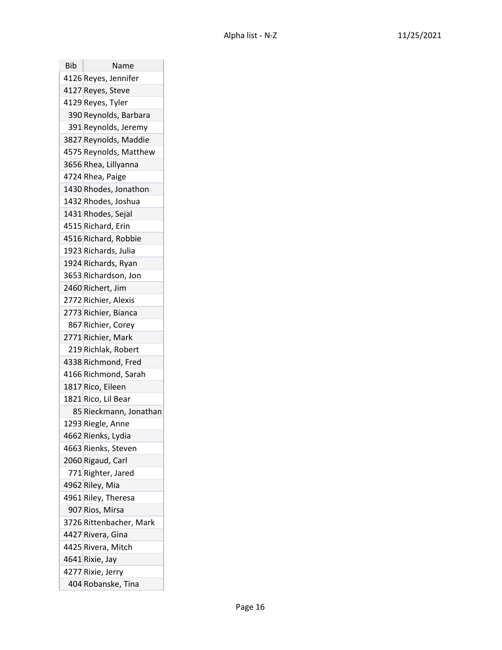| Bib | Name                    |
|-----|-------------------------|
|     | 4126 Reyes, Jennifer    |
|     | 4127 Reyes, Steve       |
|     | 4129 Reyes, Tyler       |
|     | 390 Reynolds, Barbara   |
|     | 391 Reynolds, Jeremy    |
|     | 3827 Reynolds, Maddie   |
|     | 4575 Reynolds, Matthew  |
|     | 3656 Rhea, Lillyanna    |
|     | 4724 Rhea, Paige        |
|     | 1430 Rhodes, Jonathon   |
|     | 1432 Rhodes, Joshua     |
|     | 1431 Rhodes, Sejal      |
|     | 4515 Richard, Erin      |
|     | 4516 Richard, Robbie    |
|     | 1923 Richards, Julia    |
|     | 1924 Richards, Ryan     |
|     | 3653 Richardson, Jon    |
|     | 2460 Richert, Jim       |
|     | 2772 Richier, Alexis    |
|     | 2773 Richier, Bianca    |
|     | 867 Richier, Corey      |
|     | 2771 Richier, Mark      |
|     | 219 Richlak, Robert     |
|     | 4338 Richmond, Fred     |
|     | 4166 Richmond, Sarah    |
|     | 1817 Rico, Eileen       |
|     | 1821 Rico, Lil Bear     |
|     | 85 Rieckmann, Jonathan  |
|     | 1293 Riegle, Anne       |
|     | 4662 Rienks, Lydia      |
|     | 4663 Rienks, Steven     |
|     | 2060 Rigaud, Carl       |
|     | 771 Righter, Jared      |
|     | 4962 Riley, Mia         |
|     | 4961 Riley, Theresa     |
|     | 907 Rios, Mirsa         |
|     | 3726 Rittenbacher, Mark |
|     | 4427 Rivera, Gina       |
|     | 4425 Rivera, Mitch      |
|     | 4641 Rixie, Jay         |
|     | 4277 Rixie, Jerry       |
|     | 404 Robanske, Tina      |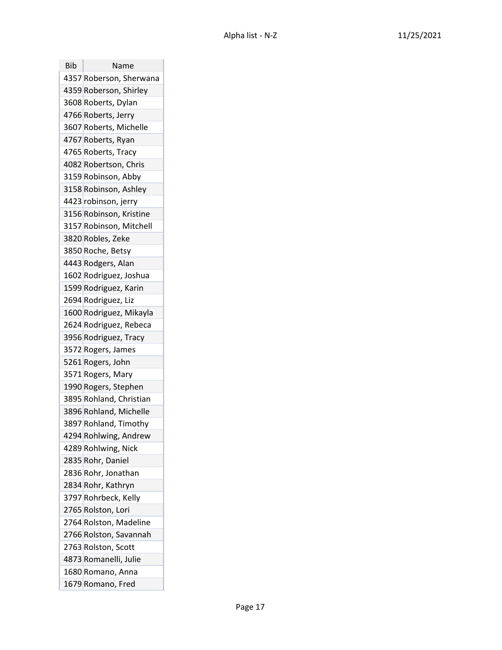| Bib | Name                    |
|-----|-------------------------|
|     | 4357 Roberson, Sherwana |
|     | 4359 Roberson, Shirley  |
|     | 3608 Roberts, Dylan     |
|     | 4766 Roberts, Jerry     |
|     | 3607 Roberts, Michelle  |
|     | 4767 Roberts, Ryan      |
|     | 4765 Roberts, Tracy     |
|     | 4082 Robertson, Chris   |
|     | 3159 Robinson, Abby     |
|     | 3158 Robinson, Ashley   |
|     | 4423 robinson, jerry    |
|     | 3156 Robinson, Kristine |
|     | 3157 Robinson, Mitchell |
|     | 3820 Robles, Zeke       |
|     | 3850 Roche, Betsy       |
|     | 4443 Rodgers, Alan      |
|     | 1602 Rodriguez, Joshua  |
|     | 1599 Rodriguez, Karin   |
|     | 2694 Rodriguez, Liz     |
|     | 1600 Rodriguez, Mikayla |
|     | 2624 Rodriguez, Rebeca  |
|     | 3956 Rodriguez, Tracy   |
|     | 3572 Rogers, James      |
|     | 5261 Rogers, John       |
|     | 3571 Rogers, Mary       |
|     | 1990 Rogers, Stephen    |
|     | 3895 Rohland, Christian |
|     | 3896 Rohland, Michelle  |
|     | 3897 Rohland, Timothy   |
|     | 4294 Rohlwing, Andrew   |
|     | 4289 Rohlwing, Nick     |
|     | 2835 Rohr, Daniel       |
|     | 2836 Rohr, Jonathan     |
|     | 2834 Rohr, Kathryn      |
|     | 3797 Rohrbeck, Kelly    |
|     | 2765 Rolston, Lori      |
|     | 2764 Rolston, Madeline  |
|     | 2766 Rolston, Savannah  |
|     | 2763 Rolston, Scott     |
|     | 4873 Romanelli, Julie   |
|     | 1680 Romano, Anna       |
|     | 1679 Romano, Fred       |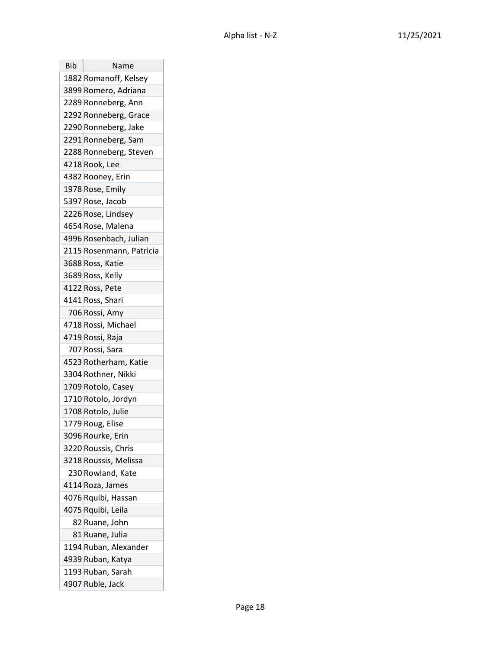| Bib | Name                     |
|-----|--------------------------|
|     | 1882 Romanoff, Kelsey    |
|     | 3899 Romero, Adriana     |
|     | 2289 Ronneberg, Ann      |
|     | 2292 Ronneberg, Grace    |
|     | 2290 Ronneberg, Jake     |
|     | 2291 Ronneberg, Sam      |
|     | 2288 Ronneberg, Steven   |
|     | 4218 Rook, Lee           |
|     | 4382 Rooney, Erin        |
|     | 1978 Rose, Emily         |
|     | 5397 Rose, Jacob         |
|     | 2226 Rose, Lindsey       |
|     | 4654 Rose, Malena        |
|     | 4996 Rosenbach, Julian   |
|     | 2115 Rosenmann, Patricia |
|     | 3688 Ross, Katie         |
|     | 3689 Ross, Kelly         |
|     | 4122 Ross, Pete          |
|     | 4141 Ross, Shari         |
|     | 706 Rossi, Amy           |
|     | 4718 Rossi, Michael      |
|     | 4719 Rossi, Raja         |
|     | 707 Rossi, Sara          |
|     | 4523 Rotherham, Katie    |
|     | 3304 Rothner, Nikki      |
|     | 1709 Rotolo, Casey       |
|     | 1710 Rotolo, Jordyn      |
|     | 1708 Rotolo, Julie       |
|     | 1779 Roug, Elise         |
|     | 3096 Rourke, Erin        |
|     | 3220 Roussis, Chris      |
|     | 3218 Roussis, Melissa    |
|     | 230 Rowland, Kate        |
|     | 4114 Roza, James         |
|     | 4076 Rquibi, Hassan      |
|     | 4075 Rquibi, Leila       |
|     | 82 Ruane, John           |
|     | 81 Ruane, Julia          |
|     | 1194 Ruban, Alexander    |
|     | 4939 Ruban, Katya        |
|     | 1193 Ruban, Sarah        |
|     | 4907 Ruble, Jack         |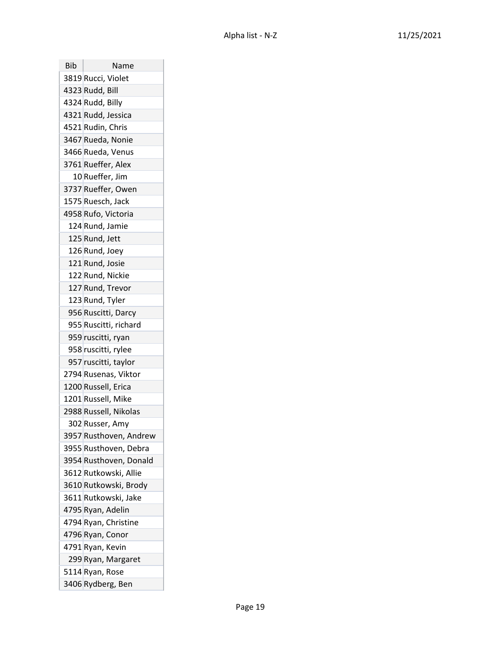| <b>Bib</b> | Name                   |
|------------|------------------------|
|            | 3819 Rucci, Violet     |
|            | 4323 Rudd, Bill        |
|            | 4324 Rudd, Billy       |
|            | 4321 Rudd, Jessica     |
|            | 4521 Rudin, Chris      |
|            | 3467 Rueda, Nonie      |
|            | 3466 Rueda, Venus      |
|            | 3761 Rueffer, Alex     |
|            | 10 Rueffer, Jim        |
|            | 3737 Rueffer, Owen     |
|            | 1575 Ruesch, Jack      |
|            | 4958 Rufo, Victoria    |
|            | 124 Rund, Jamie        |
|            | 125 Rund, Jett         |
|            | 126 Rund, Joey         |
|            | 121 Rund, Josie        |
|            | 122 Rund, Nickie       |
|            | 127 Rund, Trevor       |
|            | 123 Rund, Tyler        |
|            | 956 Ruscitti, Darcy    |
|            | 955 Ruscitti, richard  |
|            | 959 ruscitti, ryan     |
|            | 958 ruscitti, rylee    |
|            | 957 ruscitti, taylor   |
|            | 2794 Rusenas, Viktor   |
|            | 1200 Russell, Erica    |
|            | 1201 Russell, Mike     |
|            | 2988 Russell, Nikolas  |
|            | 302 Russer, Amy        |
|            | 3957 Rusthoven, Andrew |
|            | 3955 Rusthoven, Debra  |
|            | 3954 Rusthoven, Donald |
|            | 3612 Rutkowski, Allie  |
|            | 3610 Rutkowski, Brody  |
|            | 3611 Rutkowski, Jake   |
|            | 4795 Ryan, Adelin      |
|            | 4794 Ryan, Christine   |
|            | 4796 Ryan, Conor       |
|            | 4791 Ryan, Kevin       |
|            | 299 Ryan, Margaret     |
|            | 5114 Ryan, Rose        |
|            | 3406 Rydberg, Ben      |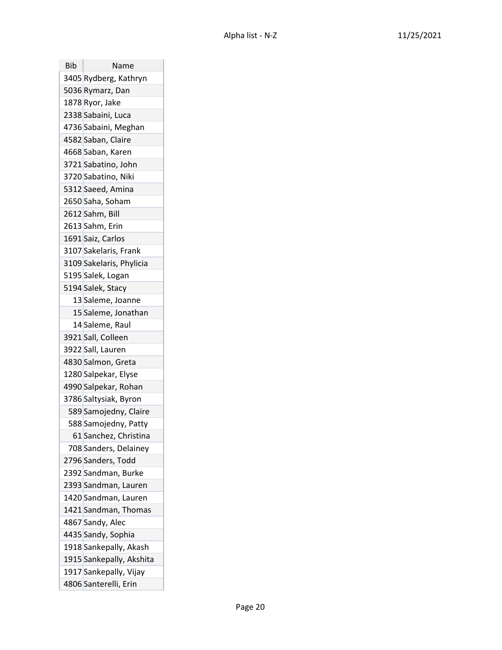| Bib | Name<br>3405 Rydberg, Kathryn |
|-----|-------------------------------|
|     | 5036 Rymarz, Dan              |
|     | 1878 Ryor, Jake               |
|     | 2338 Sabaini, Luca            |
|     |                               |
|     | 4736 Sabaini, Meghan          |
|     | 4582 Saban, Claire            |
|     | 4668 Saban, Karen             |
|     | 3721 Sabatino, John           |
|     | 3720 Sabatino, Niki           |
|     | 5312 Saeed, Amina             |
|     | 2650 Saha, Soham              |
|     | 2612 Sahm, Bill               |
|     | 2613 Sahm, Erin               |
|     | 1691 Saiz, Carlos             |
|     | 3107 Sakelaris, Frank         |
|     | 3109 Sakelaris, Phylicia      |
|     | 5195 Salek, Logan             |
|     | 5194 Salek, Stacy             |
|     | 13 Saleme, Joanne             |
|     | 15 Saleme, Jonathan           |
|     | 14 Saleme, Raul               |
|     | 3921 Sall, Colleen            |
|     | 3922 Sall, Lauren             |
|     | 4830 Salmon, Greta            |
|     | 1280 Salpekar, Elyse          |
|     | 4990 Salpekar, Rohan          |
|     | 3786 Saltysiak, Byron         |
|     | 589 Samojedny, Claire         |
|     | 588 Samojedny, Patty          |
|     | 61 Sanchez, Christina         |
|     | 708 Sanders, Delainey         |
|     | 2796 Sanders, Todd            |
|     | 2392 Sandman, Burke           |
|     | 2393 Sandman, Lauren          |
|     | 1420 Sandman, Lauren          |
|     | 1421 Sandman, Thomas          |
|     | 4867 Sandy, Alec              |
|     | 4435 Sandy, Sophia            |
|     | 1918 Sankepally, Akash        |
|     | 1915 Sankepally, Akshita      |
|     | 1917 Sankepally, Vijay        |
|     | 4806 Santerelli, Erin         |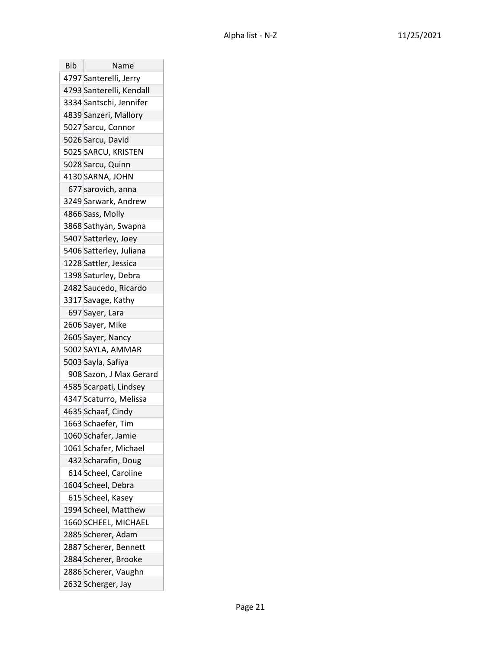| <b>Bib</b> | Name                     |
|------------|--------------------------|
|            | 4797 Santerelli, Jerry   |
|            | 4793 Santerelli, Kendall |
|            | 3334 Santschi, Jennifer  |
|            | 4839 Sanzeri, Mallory    |
|            | 5027 Sarcu, Connor       |
|            | 5026 Sarcu, David        |
|            | 5025 SARCU, KRISTEN      |
|            | 5028 Sarcu, Quinn        |
|            | 4130 SARNA, JOHN         |
|            | 677 sarovich, anna       |
|            | 3249 Sarwark, Andrew     |
|            | 4866 Sass, Molly         |
|            | 3868 Sathyan, Swapna     |
|            | 5407 Satterley, Joey     |
|            | 5406 Satterley, Juliana  |
|            | 1228 Sattler, Jessica    |
|            | 1398 Saturley, Debra     |
|            | 2482 Saucedo, Ricardo    |
|            | 3317 Savage, Kathy       |
|            | 697 Sayer, Lara          |
|            | 2606 Sayer, Mike         |
|            | 2605 Sayer, Nancy        |
|            | 5002 SAYLA, AMMAR        |
|            | 5003 Sayla, Safiya       |
|            | 908 Sazon, J Max Gerard  |
|            | 4585 Scarpati, Lindsey   |
|            | 4347 Scaturro, Melissa   |
|            | 4635 Schaaf, Cindy       |
|            | 1663 Schaefer, Tim       |
|            | 1060 Schafer, Jamie      |
|            | 1061 Schafer, Michael    |
|            | 432 Scharafin, Doug      |
|            | 614 Scheel, Caroline     |
|            | 1604 Scheel, Debra       |
|            | 615 Scheel, Kasey        |
|            | 1994 Scheel, Matthew     |
|            | 1660 SCHEEL, MICHAEL     |
|            | 2885 Scherer, Adam       |
|            | 2887 Scherer, Bennett    |
|            | 2884 Scherer, Brooke     |
|            | 2886 Scherer, Vaughn     |
|            | 2632 Scherger, Jay       |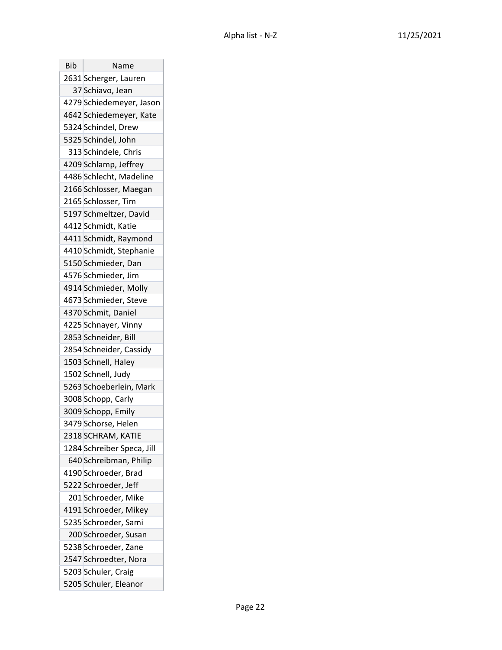| <b>Bib</b> | Name                       |
|------------|----------------------------|
|            | 2631 Scherger, Lauren      |
|            | 37 Schiavo, Jean           |
|            | 4279 Schiedemeyer, Jason   |
|            | 4642 Schiedemeyer, Kate    |
|            | 5324 Schindel, Drew        |
|            | 5325 Schindel, John        |
|            | 313 Schindele, Chris       |
|            | 4209 Schlamp, Jeffrey      |
|            | 4486 Schlecht, Madeline    |
|            | 2166 Schlosser, Maegan     |
|            | 2165 Schlosser, Tim        |
|            | 5197 Schmeltzer, David     |
|            | 4412 Schmidt, Katie        |
|            | 4411 Schmidt, Raymond      |
|            | 4410 Schmidt, Stephanie    |
|            | 5150 Schmieder, Dan        |
|            | 4576 Schmieder, Jim        |
|            | 4914 Schmieder, Molly      |
|            | 4673 Schmieder, Steve      |
|            | 4370 Schmit, Daniel        |
|            | 4225 Schnayer, Vinny       |
|            | 2853 Schneider, Bill       |
|            | 2854 Schneider, Cassidy    |
|            | 1503 Schnell, Haley        |
|            | 1502 Schnell, Judy         |
|            | 5263 Schoeberlein, Mark    |
|            | 3008 Schopp, Carly         |
|            | 3009 Schopp, Emily         |
|            | 3479 Schorse, Helen        |
|            | 2318 SCHRAM, KATIE         |
|            | 1284 Schreiber Speca, Jill |
|            | 640 Schreibman, Philip     |
|            | 4190 Schroeder, Brad       |
|            | 5222 Schroeder, Jeff       |
|            | 201 Schroeder, Mike        |
|            | 4191 Schroeder, Mikey      |
|            | 5235 Schroeder, Sami       |
|            | 200 Schroeder, Susan       |
|            | 5238 Schroeder, Zane       |
|            | 2547 Schroedter, Nora      |
|            | 5203 Schuler, Craig        |
|            | 5205 Schuler, Eleanor      |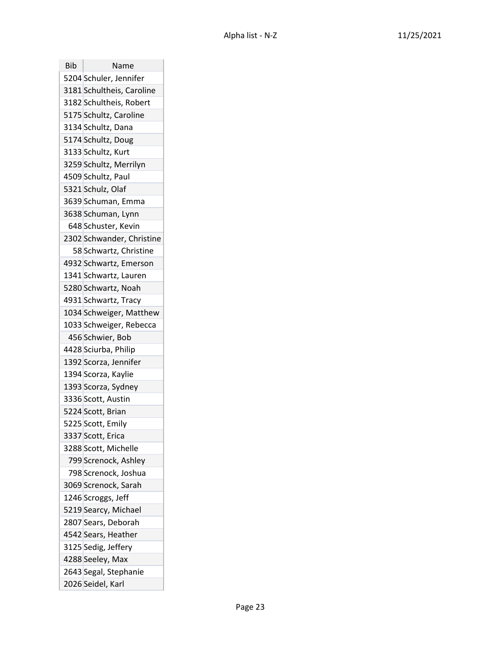| Bib | Name                      |
|-----|---------------------------|
|     | 5204 Schuler, Jennifer    |
|     | 3181 Schultheis, Caroline |
|     | 3182 Schultheis, Robert   |
|     | 5175 Schultz, Caroline    |
|     | 3134 Schultz, Dana        |
|     | 5174 Schultz, Doug        |
|     | 3133 Schultz, Kurt        |
|     | 3259 Schultz, Merrilyn    |
|     | 4509 Schultz, Paul        |
|     | 5321 Schulz, Olaf         |
|     | 3639 Schuman, Emma        |
|     | 3638 Schuman, Lynn        |
|     | 648 Schuster, Kevin       |
|     | 2302 Schwander, Christine |
|     | 58 Schwartz, Christine    |
|     | 4932 Schwartz, Emerson    |
|     | 1341 Schwartz, Lauren     |
|     | 5280 Schwartz, Noah       |
|     | 4931 Schwartz, Tracy      |
|     | 1034 Schweiger, Matthew   |
|     | 1033 Schweiger, Rebecca   |
|     | 456 Schwier, Bob          |
|     | 4428 Sciurba, Philip      |
|     | 1392 Scorza, Jennifer     |
|     | 1394 Scorza, Kaylie       |
|     | 1393 Scorza, Sydney       |
|     | 3336 Scott, Austin        |
|     | 5224 Scott, Brian         |
|     | 5225 Scott, Emily         |
|     | 3337 Scott, Erica         |
|     | 3288 Scott, Michelle      |
|     | 799 Screnock, Ashley      |
|     | 798 Screnock, Joshua      |
|     | 3069 Screnock, Sarah      |
|     | 1246 Scroggs, Jeff        |
|     | 5219 Searcy, Michael      |
|     | 2807 Sears, Deborah       |
|     | 4542 Sears, Heather       |
|     | 3125 Sedig, Jeffery       |
|     | 4288 Seeley, Max          |
|     | 2643 Segal, Stephanie     |
|     | 2026 Seidel, Karl         |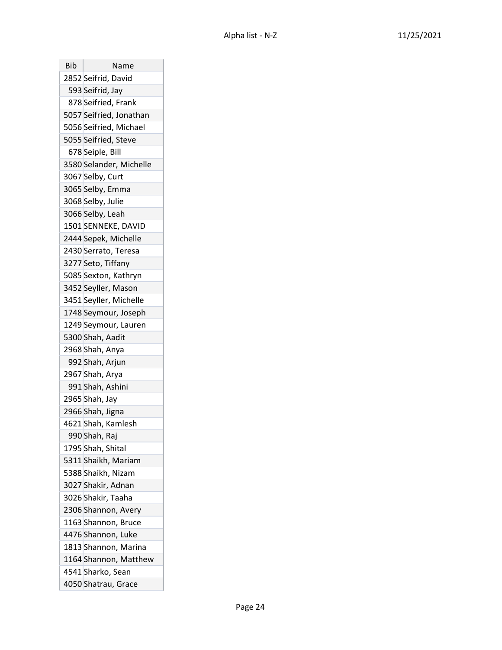| Bib | Name                    |
|-----|-------------------------|
|     | 2852 Seifrid, David     |
|     | 593 Seifrid, Jay        |
|     | 878 Seifried, Frank     |
|     | 5057 Seifried, Jonathan |
|     | 5056 Seifried, Michael  |
|     | 5055 Seifried, Steve    |
|     | 678 Seiple, Bill        |
|     | 3580 Selander, Michelle |
|     | 3067 Selby, Curt        |
|     | 3065 Selby, Emma        |
|     | 3068 Selby, Julie       |
|     | 3066 Selby, Leah        |
|     | 1501 SENNEKE, DAVID     |
|     | 2444 Sepek, Michelle    |
|     | 2430 Serrato, Teresa    |
|     | 3277 Seto, Tiffany      |
|     | 5085 Sexton, Kathryn    |
|     | 3452 Seyller, Mason     |
|     | 3451 Seyller, Michelle  |
|     | 1748 Seymour, Joseph    |
|     | 1249 Seymour, Lauren    |
|     | 5300 Shah, Aadit        |
|     | 2968 Shah, Anya         |
|     | 992 Shah, Arjun         |
|     | 2967 Shah, Arya         |
|     | 991 Shah, Ashini        |
|     | 2965 Shah, Jay          |
|     | 2966 Shah, Jigna        |
|     | 4621 Shah, Kamlesh      |
|     | 990 Shah, Raj           |
|     | 1795 Shah, Shital       |
|     | 5311 Shaikh, Mariam     |
|     | 5388 Shaikh, Nizam      |
|     | 3027 Shakir, Adnan      |
|     | 3026 Shakir, Taaha      |
|     | 2306 Shannon, Avery     |
|     | 1163 Shannon, Bruce     |
|     | 4476 Shannon, Luke      |
|     | 1813 Shannon, Marina    |
|     | 1164 Shannon, Matthew   |
|     | 4541 Sharko, Sean       |
|     | 4050 Shatrau, Grace     |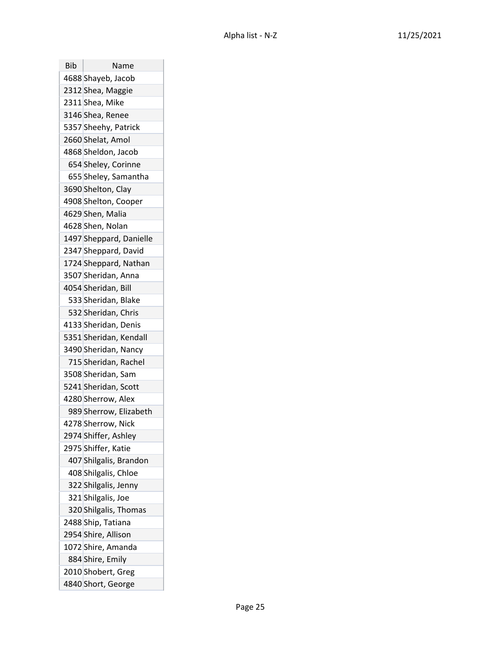| Bib | Name                    |
|-----|-------------------------|
|     | 4688 Shayeb, Jacob      |
|     | 2312 Shea, Maggie       |
|     | 2311 Shea, Mike         |
|     | 3146 Shea, Renee        |
|     | 5357 Sheehy, Patrick    |
|     | 2660 Shelat, Amol       |
|     | 4868 Sheldon, Jacob     |
|     | 654 Sheley, Corinne     |
|     | 655 Sheley, Samantha    |
|     | 3690 Shelton, Clay      |
|     | 4908 Shelton, Cooper    |
|     | 4629 Shen, Malia        |
|     | 4628 Shen, Nolan        |
|     | 1497 Sheppard, Danielle |
|     | 2347 Sheppard, David    |
|     | 1724 Sheppard, Nathan   |
|     | 3507 Sheridan, Anna     |
|     | 4054 Sheridan, Bill     |
|     | 533 Sheridan, Blake     |
|     | 532 Sheridan, Chris     |
|     | 4133 Sheridan, Denis    |
|     | 5351 Sheridan, Kendall  |
|     | 3490 Sheridan, Nancy    |
|     | 715 Sheridan, Rachel    |
|     | 3508 Sheridan, Sam      |
|     | 5241 Sheridan, Scott    |
|     | 4280 Sherrow, Alex      |
|     | 989 Sherrow, Elizabeth  |
|     | 4278 Sherrow, Nick      |
|     | 2974 Shiffer, Ashley    |
|     | 2975 Shiffer, Katie     |
|     | 407 Shilgalis, Brandon  |
|     | 408 Shilgalis, Chloe    |
|     | 322 Shilgalis, Jenny    |
|     | 321 Shilgalis, Joe      |
|     | 320 Shilgalis, Thomas   |
|     | 2488 Ship, Tatiana      |
|     | 2954 Shire, Allison     |
|     | 1072 Shire, Amanda      |
|     | 884 Shire, Emily        |
|     | 2010 Shobert, Greg      |
|     | 4840 Short, George      |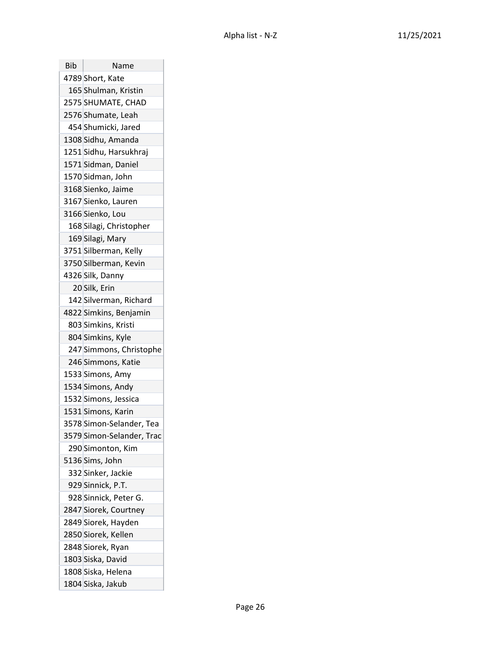| Bib | Name                      |
|-----|---------------------------|
|     | 4789 Short, Kate          |
|     | 165 Shulman, Kristin      |
|     | 2575 SHUMATE, CHAD        |
|     | 2576 Shumate, Leah        |
|     | 454 Shumicki, Jared       |
|     | 1308 Sidhu, Amanda        |
|     | 1251 Sidhu, Harsukhraj    |
|     | 1571 Sidman, Daniel       |
|     | 1570 Sidman, John         |
|     | 3168 Sienko, Jaime        |
|     | 3167 Sienko, Lauren       |
|     | 3166 Sienko, Lou          |
|     | 168 Silagi, Christopher   |
|     | 169 Silagi, Mary          |
|     | 3751 Silberman, Kelly     |
|     | 3750 Silberman, Kevin     |
|     | 4326 Silk, Danny          |
|     | 20 Silk, Erin             |
|     | 142 Silverman, Richard    |
|     | 4822 Simkins, Benjamin    |
|     | 803 Simkins, Kristi       |
|     | 804 Simkins, Kyle         |
|     | 247 Simmons, Christophe   |
|     | 246 Simmons, Katie        |
|     | 1533 Simons, Amy          |
|     | 1534 Simons, Andy         |
|     | 1532 Simons, Jessica      |
|     | 1531 Simons, Karin        |
|     | 3578 Simon-Selander, Tea  |
|     | 3579 Simon-Selander, Trac |
|     | 290 Simonton, Kim         |
|     | 5136 Sims, John           |
|     | 332 Sinker, Jackie        |
|     | 929 Sinnick, P.T.         |
|     | 928 Sinnick, Peter G.     |
|     | 2847 Siorek, Courtney     |
|     | 2849 Siorek, Hayden       |
|     | 2850 Siorek, Kellen       |
|     | 2848 Siorek, Ryan         |
|     | 1803 Siska, David         |
|     | 1808 Siska, Helena        |
|     | 1804 Siska, Jakub         |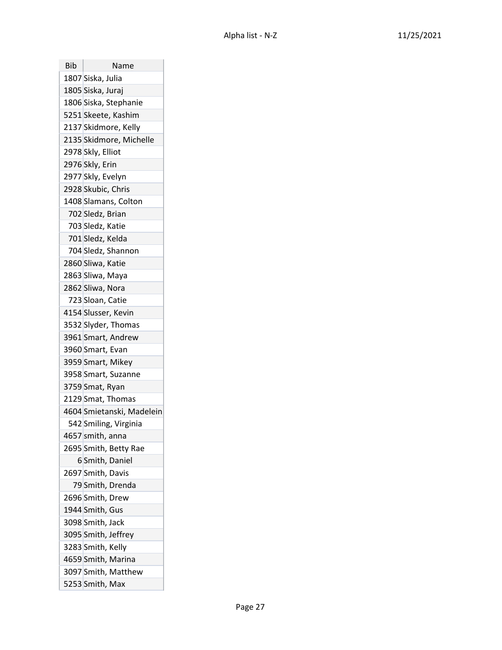| Bib | Name                      |
|-----|---------------------------|
|     | 1807 Siska, Julia         |
|     | 1805 Siska, Juraj         |
|     | 1806 Siska, Stephanie     |
|     | 5251 Skeete, Kashim       |
|     | 2137 Skidmore, Kelly      |
|     | 2135 Skidmore, Michelle   |
|     | 2978 Skly, Elliot         |
|     | 2976 Skly, Erin           |
|     | 2977 Skly, Evelyn         |
|     | 2928 Skubic, Chris        |
|     | 1408 Slamans, Colton      |
|     | 702 Sledz, Brian          |
|     | 703 Sledz, Katie          |
|     | 701 Sledz, Kelda          |
|     | 704 Sledz, Shannon        |
|     | 2860 Sliwa, Katie         |
|     | 2863 Sliwa, Maya          |
|     | 2862 Sliwa, Nora          |
|     | 723 Sloan, Catie          |
|     | 4154 Slusser, Kevin       |
|     | 3532 Slyder, Thomas       |
|     | 3961 Smart, Andrew        |
|     | 3960 Smart, Evan          |
|     | 3959 Smart, Mikey         |
|     | 3958 Smart, Suzanne       |
|     | 3759 Smat, Ryan           |
|     | 2129 Smat, Thomas         |
|     | 4604 Smietanski, Madelein |
|     | 542 Smiling, Virginia     |
|     | 4657 smith, anna          |
|     | 2695 Smith, Betty Rae     |
|     | 6 Smith, Daniel           |
|     | 2697 Smith, Davis         |
|     | 79 Smith, Drenda          |
|     | 2696 Smith, Drew          |
|     | 1944 Smith, Gus           |
|     | 3098 Smith, Jack          |
|     | 3095 Smith, Jeffrey       |
|     | 3283 Smith, Kelly         |
|     | 4659 Smith, Marina        |
|     | 3097 Smith, Matthew       |
|     | 5253 Smith, Max           |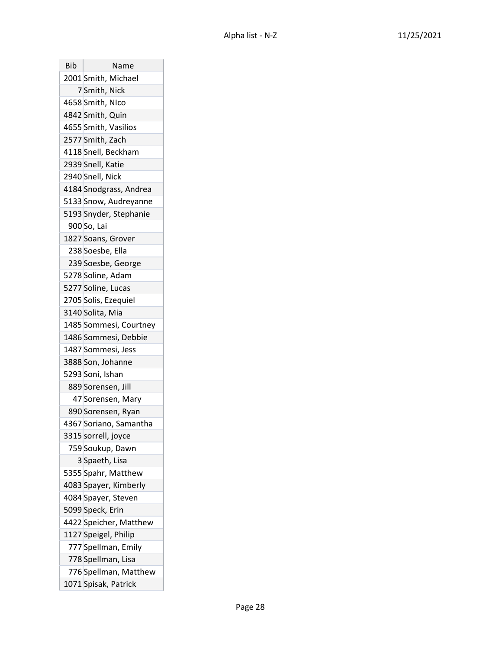| Bib | Name                   |
|-----|------------------------|
|     | 2001 Smith, Michael    |
|     | 7 Smith, Nick          |
|     | 4658 Smith, NIco       |
|     | 4842 Smith, Quin       |
|     | 4655 Smith, Vasilios   |
|     | 2577 Smith, Zach       |
|     | 4118 Snell, Beckham    |
|     | 2939 Snell, Katie      |
|     | 2940 Snell, Nick       |
|     | 4184 Snodgrass, Andrea |
|     | 5133 Snow, Audreyanne  |
|     | 5193 Snyder, Stephanie |
|     | 900 So, Lai            |
|     | 1827 Soans, Grover     |
|     | 238 Soesbe, Ella       |
|     | 239 Soesbe, George     |
|     | 5278 Soline, Adam      |
|     | 5277 Soline, Lucas     |
|     | 2705 Solis, Ezequiel   |
|     | 3140 Solita, Mia       |
|     | 1485 Sommesi, Courtney |
|     | 1486 Sommesi, Debbie   |
|     | 1487 Sommesi, Jess     |
|     | 3888 Son, Johanne      |
|     | 5293 Soni, Ishan       |
|     | 889 Sorensen, Jill     |
|     | 47 Sorensen, Mary      |
|     | 890 Sorensen, Ryan     |
|     | 4367 Soriano, Samantha |
|     | 3315 sorrell, joyce    |
|     | 759 Soukup, Dawn       |
|     | 3 Spaeth, Lisa         |
|     | 5355 Spahr, Matthew    |
|     | 4083 Spayer, Kimberly  |
|     | 4084 Spayer, Steven    |
|     | 5099 Speck, Erin       |
|     | 4422 Speicher, Matthew |
|     | 1127 Speigel, Philip   |
|     | 777 Spellman, Emily    |
|     | 778 Spellman, Lisa     |
|     | 776 Spellman, Matthew  |
|     | 1071 Spisak, Patrick   |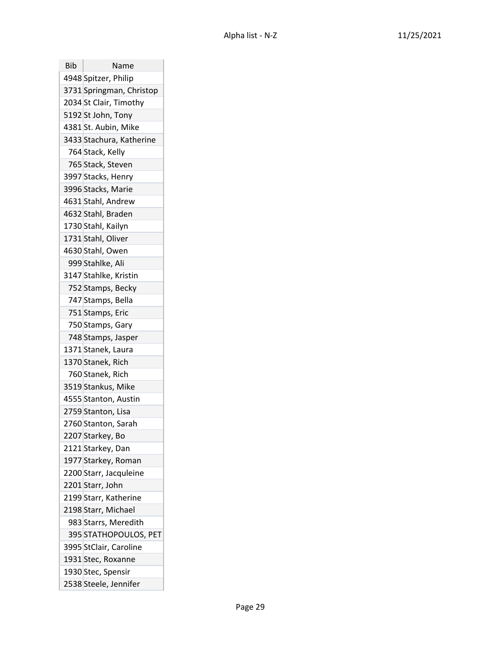| Bib | Name                     |
|-----|--------------------------|
|     | 4948 Spitzer, Philip     |
|     | 3731 Springman, Christop |
|     | 2034 St Clair, Timothy   |
|     | 5192 St John, Tony       |
|     | 4381 St. Aubin, Mike     |
|     | 3433 Stachura, Katherine |
|     | 764 Stack, Kelly         |
|     | 765 Stack, Steven        |
|     | 3997 Stacks, Henry       |
|     | 3996 Stacks, Marie       |
|     | 4631 Stahl, Andrew       |
|     | 4632 Stahl, Braden       |
|     | 1730 Stahl, Kailyn       |
|     | 1731 Stahl, Oliver       |
|     | 4630 Stahl, Owen         |
|     | 999 Stahlke, Ali         |
|     | 3147 Stahlke, Kristin    |
|     | 752 Stamps, Becky        |
|     | 747 Stamps, Bella        |
|     | 751 Stamps, Eric         |
|     | 750 Stamps, Gary         |
|     | 748 Stamps, Jasper       |
|     | 1371 Stanek, Laura       |
|     | 1370 Stanek, Rich        |
|     | 760 Stanek, Rich         |
|     | 3519 Stankus, Mike       |
|     | 4555 Stanton, Austin     |
|     | 2759 Stanton, Lisa       |
|     | 2760 Stanton, Sarah      |
|     | 2207 Starkey, Bo         |
|     | 2121 Starkey, Dan        |
|     | 1977 Starkey, Roman      |
|     | 2200 Starr, Jacquleine   |
|     | 2201 Starr, John         |
|     | 2199 Starr, Katherine    |
|     | 2198 Starr, Michael      |
|     | 983 Starrs, Meredith     |
|     | 395 STATHOPOULOS, PET    |
|     | 3995 StClair, Caroline   |
|     | 1931 Stec, Roxanne       |
|     | 1930 Stec, Spensir       |
|     | 2538 Steele, Jennifer    |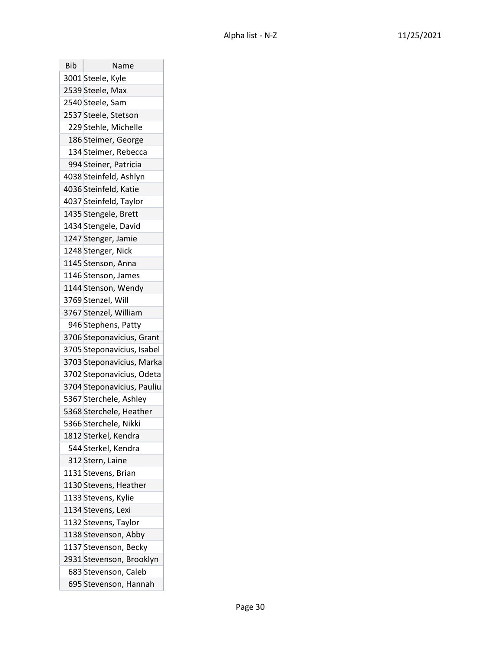| <b>Bib</b> | Name                       |
|------------|----------------------------|
|            | 3001 Steele, Kyle          |
|            | 2539 Steele, Max           |
|            | 2540 Steele, Sam           |
|            | 2537 Steele, Stetson       |
|            | 229 Stehle, Michelle       |
|            | 186 Steimer, George        |
|            | 134 Steimer, Rebecca       |
|            | 994 Steiner, Patricia      |
|            | 4038 Steinfeld, Ashlyn     |
|            | 4036 Steinfeld, Katie      |
|            | 4037 Steinfeld, Taylor     |
|            | 1435 Stengele, Brett       |
|            | 1434 Stengele, David       |
|            | 1247 Stenger, Jamie        |
|            | 1248 Stenger, Nick         |
|            | 1145 Stenson, Anna         |
|            | 1146 Stenson, James        |
|            | 1144 Stenson, Wendy        |
|            | 3769 Stenzel, Will         |
|            | 3767 Stenzel, William      |
|            | 946 Stephens, Patty        |
|            | 3706 Steponavicius, Grant  |
|            | 3705 Steponavicius, Isabel |
|            | 3703 Steponavicius, Marka  |
|            | 3702 Steponavicius, Odeta  |
|            | 3704 Steponavicius, Pauliu |
|            | 5367 Sterchele, Ashley     |
|            | 5368 Sterchele, Heather    |
|            | 5366 Sterchele, Nikki      |
|            | 1812 Sterkel, Kendra       |
|            | 544 Sterkel, Kendra        |
|            | 312 Stern, Laine           |
|            | 1131 Stevens, Brian        |
|            | 1130 Stevens, Heather      |
|            | 1133 Stevens, Kylie        |
|            | 1134 Stevens, Lexi         |
|            | 1132 Stevens, Taylor       |
|            | 1138 Stevenson, Abby       |
|            | 1137 Stevenson, Becky      |
|            | 2931 Stevenson, Brooklyn   |
|            | 683 Stevenson, Caleb       |
|            | 695 Stevenson, Hannah      |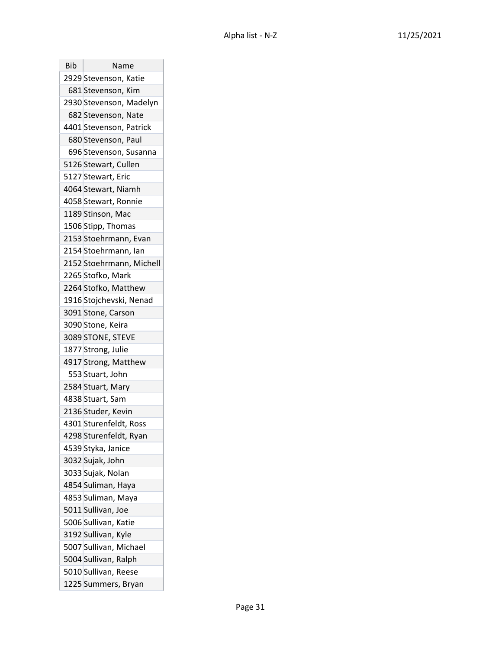| Bib | Name                     |
|-----|--------------------------|
|     | 2929 Stevenson, Katie    |
|     | 681 Stevenson, Kim       |
|     | 2930 Stevenson, Madelyn  |
|     | 682 Stevenson, Nate      |
|     | 4401 Stevenson, Patrick  |
|     | 680 Stevenson, Paul      |
|     | 696 Stevenson, Susanna   |
|     | 5126 Stewart, Cullen     |
|     | 5127 Stewart, Eric       |
|     | 4064 Stewart, Niamh      |
|     | 4058 Stewart, Ronnie     |
|     | 1189 Stinson, Mac        |
|     | 1506 Stipp, Thomas       |
|     | 2153 Stoehrmann, Evan    |
|     | 2154 Stoehrmann, Ian     |
|     | 2152 Stoehrmann, Michell |
|     | 2265 Stofko, Mark        |
|     | 2264 Stofko, Matthew     |
|     | 1916 Stojchevski, Nenad  |
|     | 3091 Stone, Carson       |
|     | 3090 Stone, Keira        |
|     | 3089 STONE, STEVE        |
|     | 1877 Strong, Julie       |
|     | 4917 Strong, Matthew     |
|     | 553 Stuart, John         |
|     | 2584 Stuart, Mary        |
|     | 4838 Stuart, Sam         |
|     | 2136 Studer, Kevin       |
|     | 4301 Sturenfeldt, Ross   |
|     | 4298 Sturenfeldt, Ryan   |
|     | 4539 Styka, Janice       |
|     | 3032 Sujak, John         |
|     | 3033 Sujak, Nolan        |
|     | 4854 Suliman, Haya       |
|     | 4853 Suliman, Maya       |
|     | 5011 Sullivan, Joe       |
|     | 5006 Sullivan, Katie     |
|     | 3192 Sullivan, Kyle      |
|     | 5007 Sullivan, Michael   |
|     | 5004 Sullivan, Ralph     |
|     | 5010 Sullivan, Reese     |
|     | 1225 Summers, Bryan      |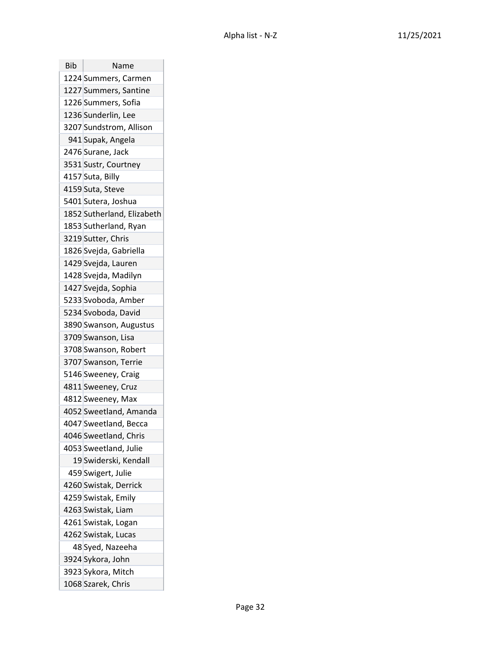| Bib | Name                       |
|-----|----------------------------|
|     | 1224 Summers, Carmen       |
|     | 1227 Summers, Santine      |
|     | 1226 Summers, Sofia        |
|     | 1236 Sunderlin, Lee        |
|     | 3207 Sundstrom, Allison    |
|     | 941 Supak, Angela          |
|     | 2476 Surane, Jack          |
|     | 3531 Sustr, Courtney       |
|     | 4157 Suta, Billy           |
|     | 4159 Suta, Steve           |
|     | 5401 Sutera, Joshua        |
|     | 1852 Sutherland, Elizabeth |
|     | 1853 Sutherland, Ryan      |
|     | 3219 Sutter, Chris         |
|     | 1826 Svejda, Gabriella     |
|     | 1429 Svejda, Lauren        |
|     | 1428 Svejda, Madilyn       |
|     | 1427 Svejda, Sophia        |
|     | 5233 Svoboda, Amber        |
|     | 5234 Svoboda, David        |
|     | 3890 Swanson, Augustus     |
|     | 3709 Swanson, Lisa         |
|     | 3708 Swanson, Robert       |
|     | 3707 Swanson, Terrie       |
|     | 5146 Sweeney, Craig        |
|     | 4811 Sweeney, Cruz         |
|     | 4812 Sweeney, Max          |
|     | 4052 Sweetland, Amanda     |
|     | 4047 Sweetland, Becca      |
|     | 4046 Sweetland, Chris      |
|     | 4053 Sweetland, Julie      |
|     | 19 Swiderski, Kendall      |
|     | 459 Swigert, Julie         |
|     | 4260 Swistak, Derrick      |
|     | 4259 Swistak, Emily        |
|     | 4263 Swistak, Liam         |
|     | 4261 Swistak, Logan        |
|     | 4262 Swistak, Lucas        |
|     | 48 Syed, Nazeeha           |
|     | 3924 Sykora, John          |
|     | 3923 Sykora, Mitch         |
|     | 1068 Szarek, Chris         |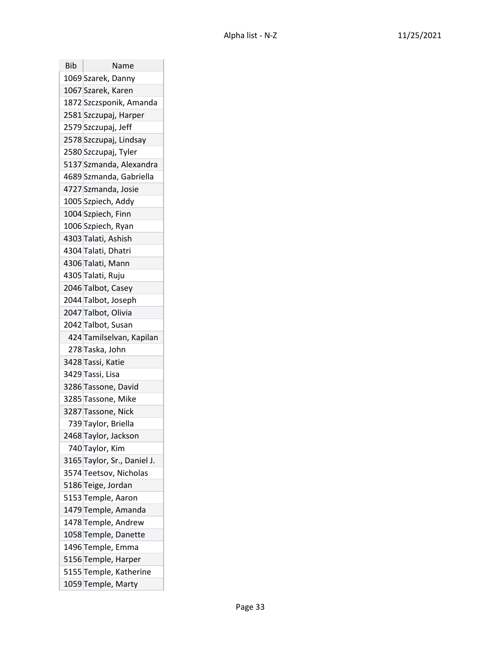| Bib | Name                        |
|-----|-----------------------------|
|     | 1069 Szarek, Danny          |
|     | 1067 Szarek, Karen          |
|     | 1872 Szczsponik, Amanda     |
|     | 2581 Szczupaj, Harper       |
|     | 2579 Szczupaj, Jeff         |
|     | 2578 Szczupaj, Lindsay      |
|     | 2580 Szczupaj, Tyler        |
|     | 5137 Szmanda, Alexandra     |
|     | 4689 Szmanda, Gabriella     |
|     | 4727 Szmanda, Josie         |
|     | 1005 Szpiech, Addy          |
|     | 1004 Szpiech, Finn          |
|     | 1006 Szpiech, Ryan          |
|     | 4303 Talati, Ashish         |
|     | 4304 Talati, Dhatri         |
|     | 4306 Talati, Mann           |
|     | 4305 Talati, Ruju           |
|     | 2046 Talbot, Casey          |
|     | 2044 Talbot, Joseph         |
|     | 2047 Talbot, Olivia         |
|     | 2042 Talbot, Susan          |
|     | 424 Tamilselvan, Kapilan    |
|     | 278 Taska, John             |
|     | 3428 Tassi, Katie           |
|     | 3429 Tassi, Lisa            |
|     | 3286 Tassone, David         |
|     | 3285 Tassone, Mike          |
|     | 3287 Tassone, Nick          |
|     | 739 Taylor, Briella         |
|     | 2468 Taylor, Jackson        |
|     | 740 Taylor, Kim             |
|     | 3165 Taylor, Sr., Daniel J. |
|     | 3574 Teetsov, Nicholas      |
|     | 5186 Teige, Jordan          |
|     | 5153 Temple, Aaron          |
|     | 1479 Temple, Amanda         |
|     | 1478 Temple, Andrew         |
|     | 1058 Temple, Danette        |
|     | 1496 Temple, Emma           |
|     | 5156 Temple, Harper         |
|     | 5155 Temple, Katherine      |
|     | 1059 Temple, Marty          |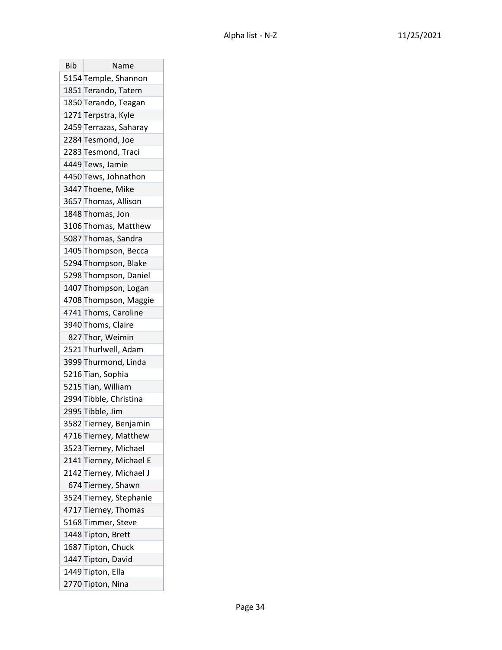| Bib | Name                    |
|-----|-------------------------|
|     | 5154 Temple, Shannon    |
|     | 1851 Terando, Tatem     |
|     | 1850 Terando, Teagan    |
|     | 1271 Terpstra, Kyle     |
|     | 2459 Terrazas, Saharay  |
|     | 2284 Tesmond, Joe       |
|     | 2283 Tesmond, Traci     |
|     | 4449 Tews, Jamie        |
|     | 4450 Tews, Johnathon    |
|     | 3447 Thoene, Mike       |
|     | 3657 Thomas, Allison    |
|     | 1848 Thomas, Jon        |
|     | 3106 Thomas, Matthew    |
|     | 5087 Thomas, Sandra     |
|     | 1405 Thompson, Becca    |
|     | 5294 Thompson, Blake    |
|     | 5298 Thompson, Daniel   |
|     | 1407 Thompson, Logan    |
|     | 4708 Thompson, Maggie   |
|     | 4741 Thoms, Caroline    |
|     | 3940 Thoms, Claire      |
|     | 827 Thor, Weimin        |
|     | 2521 Thurlwell, Adam    |
|     | 3999 Thurmond, Linda    |
|     | 5216 Tian, Sophia       |
|     | 5215 Tian, William      |
|     | 2994 Tibble, Christina  |
|     | 2995 Tibble, Jim        |
|     | 3582 Tierney, Benjamin  |
|     | 4716 Tierney, Matthew   |
|     | 3523 Tierney, Michael   |
|     | 2141 Tierney, Michael E |
|     | 2142 Tierney, Michael J |
|     | 674 Tierney, Shawn      |
|     | 3524 Tierney, Stephanie |
|     | 4717 Tierney, Thomas    |
|     | 5168 Timmer, Steve      |
|     | 1448 Tipton, Brett      |
|     | 1687 Tipton, Chuck      |
|     | 1447 Tipton, David      |
|     | 1449 Tipton, Ella       |
|     | 2770 Tipton, Nina       |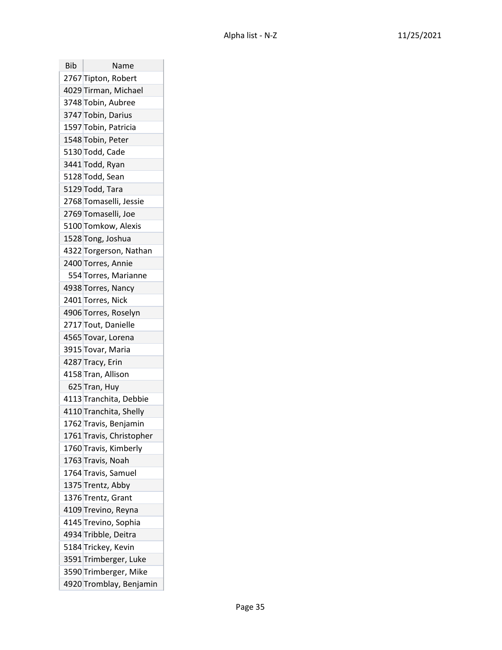| Bib | Name                     |
|-----|--------------------------|
|     | 2767 Tipton, Robert      |
|     | 4029 Tirman, Michael     |
|     | 3748 Tobin, Aubree       |
|     | 3747 Tobin, Darius       |
|     | 1597 Tobin, Patricia     |
|     | 1548 Tobin, Peter        |
|     | 5130 Todd, Cade          |
|     | 3441 Todd, Ryan          |
|     | 5128 Todd, Sean          |
|     | 5129 Todd, Tara          |
|     | 2768 Tomaselli, Jessie   |
|     | 2769 Tomaselli, Joe      |
|     | 5100 Tomkow, Alexis      |
|     | 1528 Tong, Joshua        |
|     | 4322 Torgerson, Nathan   |
|     | 2400 Torres, Annie       |
|     | 554 Torres, Marianne     |
|     | 4938 Torres, Nancy       |
|     | 2401 Torres, Nick        |
|     | 4906 Torres, Roselyn     |
|     | 2717 Tout, Danielle      |
|     | 4565 Tovar, Lorena       |
|     | 3915 Tovar, Maria        |
|     | 4287 Tracy, Erin         |
|     | 4158 Tran, Allison       |
|     | 625 Tran, Huy            |
|     | 4113 Tranchita, Debbie   |
|     | 4110 Tranchita, Shelly   |
|     | 1762 Travis, Benjamin    |
|     | 1761 Travis, Christopher |
|     | 1760 Travis, Kimberly    |
|     | 1763 Travis, Noah        |
|     | 1764 Travis, Samuel      |
|     | 1375 Trentz, Abby        |
|     | 1376 Trentz, Grant       |
|     | 4109 Trevino, Reyna      |
|     | 4145 Trevino, Sophia     |
|     | 4934 Tribble, Deitra     |
|     | 5184 Trickey, Kevin      |
|     | 3591 Trimberger, Luke    |
|     | 3590 Trimberger, Mike    |
|     | 4920 Tromblay, Benjamin  |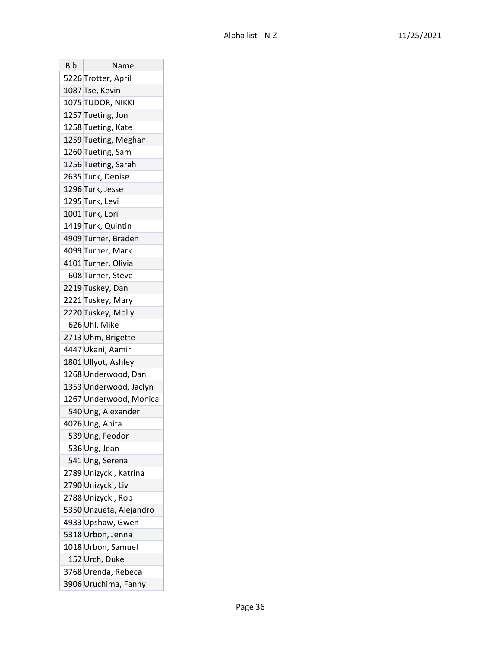| Bib | Name                    |
|-----|-------------------------|
|     | 5226 Trotter, April     |
|     | 1087 Tse, Kevin         |
|     | 1075 TUDOR, NIKKI       |
|     | 1257 Tueting, Jon       |
|     | 1258 Tueting, Kate      |
|     | 1259 Tueting, Meghan    |
|     | 1260 Tueting, Sam       |
|     | 1256 Tueting, Sarah     |
|     | 2635 Turk, Denise       |
|     | 1296 Turk, Jesse        |
|     | 1295 Turk, Levi         |
|     | 1001 Turk, Lori         |
|     | 1419 Turk, Quintin      |
|     | 4909 Turner, Braden     |
|     | 4099 Turner, Mark       |
|     | 4101 Turner, Olivia     |
|     | 608 Turner, Steve       |
|     | 2219 Tuskey, Dan        |
|     | 2221 Tuskey, Mary       |
|     | 2220 Tuskey, Molly      |
|     | 626 Uhl, Mike           |
|     | 2713 Uhm, Brigette      |
|     | 4447 Ukani, Aamir       |
|     | 1801 Ullyot, Ashley     |
|     | 1268 Underwood, Dan     |
|     | 1353 Underwood, Jaclyn  |
|     | 1267 Underwood, Monica  |
|     | 540 Ung, Alexander      |
|     | 4026 Ung, Anita         |
|     | 539 Ung, Feodor         |
|     | 536 Ung, Jean           |
|     | 541 Ung, Serena         |
|     | 2789 Unizycki, Katrina  |
|     | 2790 Unizycki, Liv      |
|     | 2788 Unizycki, Rob      |
|     | 5350 Unzueta, Alejandro |
|     | 4933 Upshaw, Gwen       |
|     | 5318 Urbon, Jenna       |
|     | 1018 Urbon, Samuel      |
|     | 152 Urch, Duke          |
|     | 3768 Urenda, Rebeca     |
|     | 3906 Uruchima, Fanny    |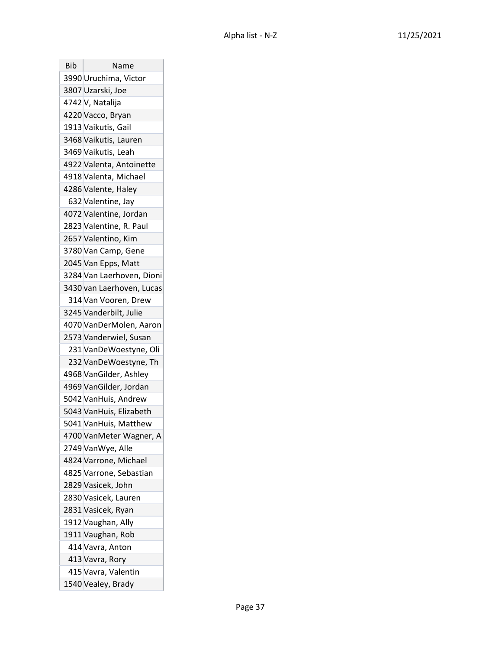| Bib | Name                      |
|-----|---------------------------|
|     | 3990 Uruchima, Victor     |
|     | 3807 Uzarski, Joe         |
|     | 4742 V, Natalija          |
|     | 4220 Vacco, Bryan         |
|     | 1913 Vaikutis, Gail       |
|     | 3468 Vaikutis, Lauren     |
|     | 3469 Vaikutis, Leah       |
|     | 4922 Valenta, Antoinette  |
|     | 4918 Valenta, Michael     |
|     | 4286 Valente, Haley       |
|     | 632 Valentine, Jay        |
|     | 4072 Valentine, Jordan    |
|     | 2823 Valentine, R. Paul   |
|     | 2657 Valentino, Kim       |
|     | 3780 Van Camp, Gene       |
|     | 2045 Van Epps, Matt       |
|     | 3284 Van Laerhoven, Dioni |
|     | 3430 van Laerhoven, Lucas |
|     | 314 Van Vooren, Drew      |
|     | 3245 Vanderbilt, Julie    |
|     | 4070 VanDerMolen, Aaron   |
|     | 2573 Vanderwiel, Susan    |
|     | 231 VanDeWoestyne, Oli    |
|     | 232 VanDeWoestyne, Th     |
|     | 4968 VanGilder, Ashley    |
|     | 4969 VanGilder, Jordan    |
|     | 5042 VanHuis, Andrew      |
|     | 5043 VanHuis, Elizabeth   |
|     | 5041 VanHuis, Matthew     |
|     | 4700 VanMeter Wagner, A   |
|     | 2749 VanWye, Alle         |
|     | 4824 Varrone, Michael     |
|     | 4825 Varrone, Sebastian   |
|     | 2829 Vasicek, John        |
|     | 2830 Vasicek, Lauren      |
|     | 2831 Vasicek, Ryan        |
|     | 1912 Vaughan, Ally        |
|     | 1911 Vaughan, Rob         |
|     | 414 Vavra, Anton          |
|     | 413 Vavra, Rory           |
|     | 415 Vavra, Valentin       |
|     | 1540 Vealey, Brady        |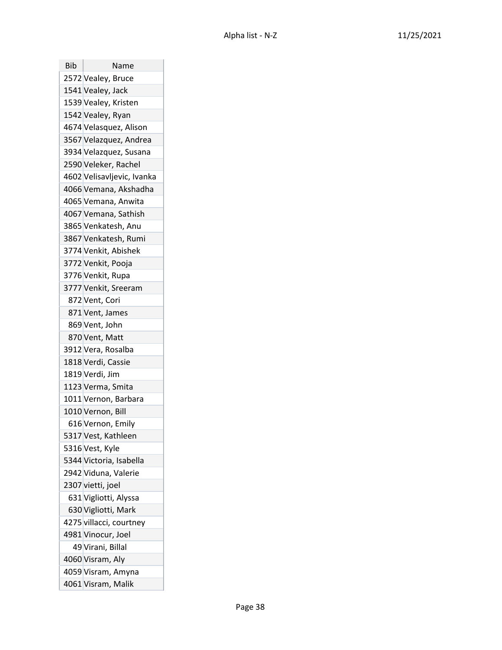| Bib | Name                       |
|-----|----------------------------|
|     | 2572 Vealey, Bruce         |
|     | 1541 Vealey, Jack          |
|     | 1539 Vealey, Kristen       |
|     | 1542 Vealey, Ryan          |
|     | 4674 Velasquez, Alison     |
|     | 3567 Velazquez, Andrea     |
|     | 3934 Velazquez, Susana     |
|     | 2590 Veleker, Rachel       |
|     | 4602 Velisavljevic, Ivanka |
|     | 4066 Vemana, Akshadha      |
|     | 4065 Vemana, Anwita        |
|     | 4067 Vemana, Sathish       |
|     | 3865 Venkatesh, Anu        |
|     | 3867 Venkatesh, Rumi       |
|     | 3774 Venkit, Abishek       |
|     | 3772 Venkit, Pooja         |
|     | 3776 Venkit, Rupa          |
|     | 3777 Venkit, Sreeram       |
|     | 872 Vent, Cori             |
|     | 871 Vent, James            |
|     | 869 Vent, John             |
|     | 870 Vent, Matt             |
|     | 3912 Vera, Rosalba         |
|     | 1818 Verdi, Cassie         |
|     | 1819 Verdi, Jim            |
|     | 1123 Verma, Smita          |
|     | 1011 Vernon, Barbara       |
|     | 1010 Vernon, Bill          |
|     | 616 Vernon, Emily          |
|     | 5317 Vest, Kathleen        |
|     | 5316 Vest, Kyle            |
|     | 5344 Victoria, Isabella    |
|     | 2942 Viduna, Valerie       |
|     | 2307 vietti, joel          |
|     | 631 Vigliotti, Alyssa      |
|     | 630 Vigliotti, Mark        |
|     | 4275 villacci, courtney    |
|     | 4981 Vinocur, Joel         |
|     | 49 Virani, Billal          |
|     | 4060 Visram, Aly           |
|     | 4059 Visram, Amyna         |
|     | 4061 Visram, Malik         |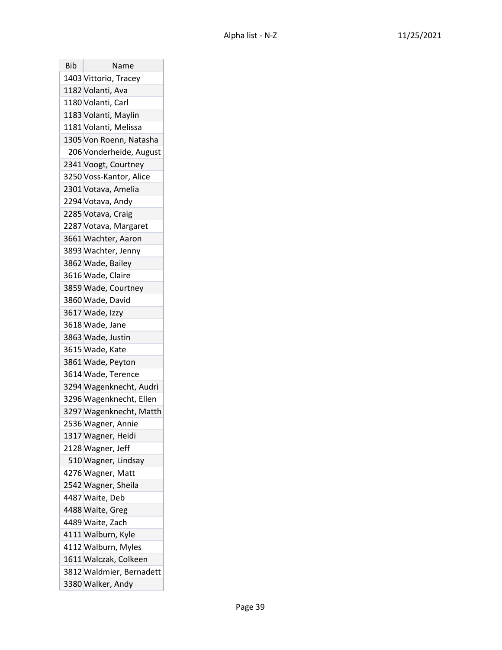| <b>Bib</b> | Name                     |
|------------|--------------------------|
|            | 1403 Vittorio, Tracey    |
|            | 1182 Volanti, Ava        |
|            | 1180 Volanti, Carl       |
|            | 1183 Volanti, Maylin     |
|            | 1181 Volanti, Melissa    |
|            | 1305 Von Roenn, Natasha  |
|            | 206 Vonderheide, August  |
|            | 2341 Voogt, Courtney     |
|            | 3250 Voss-Kantor, Alice  |
|            | 2301 Votava, Amelia      |
|            | 2294 Votava, Andy        |
|            | 2285 Votava, Craig       |
|            | 2287 Votava, Margaret    |
|            | 3661 Wachter, Aaron      |
|            | 3893 Wachter, Jenny      |
|            | 3862 Wade, Bailey        |
|            | 3616 Wade, Claire        |
|            | 3859 Wade, Courtney      |
|            | 3860 Wade, David         |
|            | 3617 Wade, Izzy          |
|            | 3618 Wade, Jane          |
|            | 3863 Wade, Justin        |
|            | 3615 Wade, Kate          |
|            | 3861 Wade, Peyton        |
|            | 3614 Wade, Terence       |
|            | 3294 Wagenknecht, Audri  |
|            | 3296 Wagenknecht, Ellen  |
|            | 3297 Wagenknecht, Matth  |
|            | 2536 Wagner, Annie       |
|            | 1317 Wagner, Heidi       |
|            | 2128 Wagner, Jeff        |
|            | 510 Wagner, Lindsay      |
|            | 4276 Wagner, Matt        |
|            | 2542 Wagner, Sheila      |
|            | 4487 Waite, Deb          |
|            | 4488 Waite, Greg         |
|            | 4489 Waite, Zach         |
|            | 4111 Walburn, Kyle       |
|            | 4112 Walburn, Myles      |
|            | 1611 Walczak, Colkeen    |
|            | 3812 Waldmier, Bernadett |
|            | 3380 Walker, Andy        |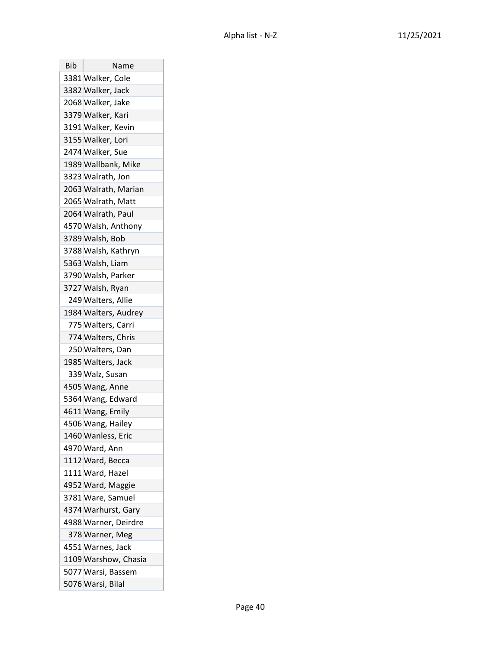| Bib | Name                 |
|-----|----------------------|
|     | 3381 Walker, Cole    |
|     | 3382 Walker, Jack    |
|     | 2068 Walker, Jake    |
|     | 3379 Walker, Kari    |
|     | 3191 Walker, Kevin   |
|     | 3155 Walker, Lori    |
|     | 2474 Walker, Sue     |
|     | 1989 Wallbank, Mike  |
|     | 3323 Walrath, Jon    |
|     | 2063 Walrath, Marian |
|     | 2065 Walrath, Matt   |
|     | 2064 Walrath, Paul   |
|     | 4570 Walsh, Anthony  |
|     | 3789 Walsh, Bob      |
|     | 3788 Walsh, Kathryn  |
|     | 5363 Walsh, Liam     |
|     | 3790 Walsh, Parker   |
|     | 3727 Walsh, Ryan     |
|     | 249 Walters, Allie   |
|     | 1984 Walters, Audrey |
|     | 775 Walters, Carri   |
|     | 774 Walters, Chris   |
|     | 250 Walters, Dan     |
|     | 1985 Walters, Jack   |
|     | 339 Walz, Susan      |
|     | 4505 Wang, Anne      |
|     | 5364 Wang, Edward    |
|     | 4611 Wang, Emily     |
|     | 4506 Wang, Hailey    |
|     | 1460 Wanless, Eric   |
|     | 4970 Ward, Ann       |
|     | 1112 Ward, Becca     |
|     | 1111 Ward, Hazel     |
|     | 4952 Ward, Maggie    |
|     | 3781 Ware, Samuel    |
|     | 4374 Warhurst, Gary  |
|     | 4988 Warner, Deirdre |
|     | 378 Warner, Meg      |
|     | 4551 Warnes, Jack    |
|     | 1109 Warshow, Chasia |
|     | 5077 Warsi, Bassem   |
|     | 5076 Warsi, Bilal    |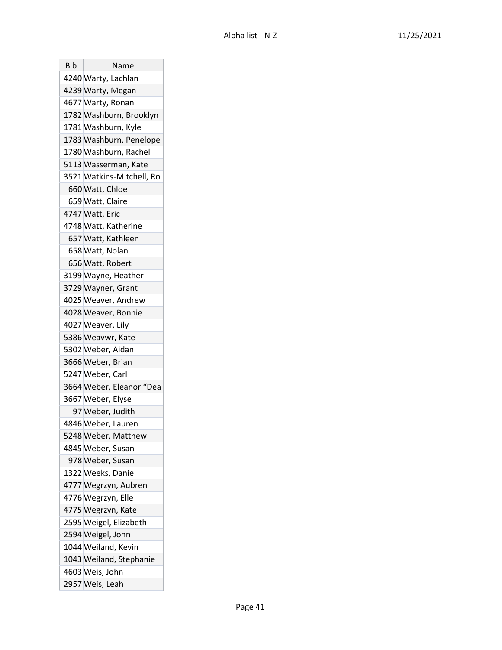| Bib | Name                      |
|-----|---------------------------|
|     | 4240 Warty, Lachlan       |
|     | 4239 Warty, Megan         |
|     | 4677 Warty, Ronan         |
|     | 1782 Washburn, Brooklyn   |
|     | 1781 Washburn, Kyle       |
|     | 1783 Washburn, Penelope   |
|     | 1780 Washburn, Rachel     |
|     | 5113 Wasserman, Kate      |
|     | 3521 Watkins-Mitchell, Ro |
|     | 660 Watt, Chloe           |
|     | 659 Watt, Claire          |
|     | 4747 Watt, Eric           |
|     | 4748 Watt, Katherine      |
|     | 657 Watt, Kathleen        |
|     | 658 Watt, Nolan           |
|     | 656 Watt, Robert          |
|     | 3199 Wayne, Heather       |
|     | 3729 Wayner, Grant        |
|     | 4025 Weaver, Andrew       |
|     | 4028 Weaver, Bonnie       |
|     | 4027 Weaver, Lily         |
|     | 5386 Weavwr, Kate         |
|     | 5302 Weber, Aidan         |
|     | 3666 Weber, Brian         |
|     | 5247 Weber, Carl          |
|     | 3664 Weber, Eleanor "Dea  |
|     | 3667 Weber, Elyse         |
|     | 97 Weber, Judith          |
|     | 4846 Weber, Lauren        |
|     | 5248 Weber, Matthew       |
|     | 4845 Weber, Susan         |
|     | 978 Weber, Susan          |
|     | 1322 Weeks, Daniel        |
|     | 4777 Wegrzyn, Aubren      |
|     | 4776 Wegrzyn, Elle        |
|     | 4775 Wegrzyn, Kate        |
|     | 2595 Weigel, Elizabeth    |
|     | 2594 Weigel, John         |
|     | 1044 Weiland, Kevin       |
|     | 1043 Weiland, Stephanie   |
|     | 4603 Weis, John           |
|     | 2957 Weis, Leah           |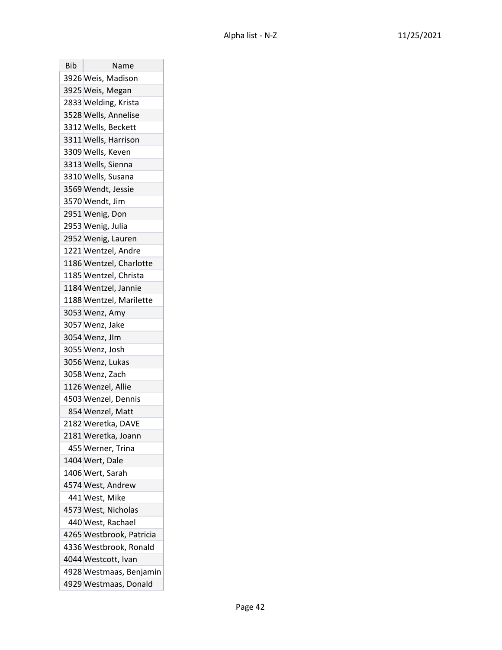| Bib | Name                     |
|-----|--------------------------|
|     | 3926 Weis, Madison       |
|     | 3925 Weis, Megan         |
|     | 2833 Welding, Krista     |
|     | 3528 Wells, Annelise     |
|     | 3312 Wells, Beckett      |
|     | 3311 Wells, Harrison     |
|     | 3309 Wells, Keven        |
|     | 3313 Wells, Sienna       |
|     | 3310 Wells, Susana       |
|     | 3569 Wendt, Jessie       |
|     | 3570 Wendt, Jim          |
|     | 2951 Wenig, Don          |
|     | 2953 Wenig, Julia        |
|     | 2952 Wenig, Lauren       |
|     | 1221 Wentzel, Andre      |
|     | 1186 Wentzel, Charlotte  |
|     | 1185 Wentzel, Christa    |
|     | 1184 Wentzel, Jannie     |
|     | 1188 Wentzel, Marilette  |
|     | 3053 Wenz, Amy           |
|     | 3057 Wenz, Jake          |
|     | 3054 Wenz, Jlm           |
|     | 3055 Wenz, Josh          |
|     | 3056 Wenz, Lukas         |
|     | 3058 Wenz, Zach          |
|     | 1126 Wenzel, Allie       |
|     | 4503 Wenzel, Dennis      |
|     | 854 Wenzel, Matt         |
|     | 2182 Weretka, DAVE       |
|     | 2181 Weretka, Joann      |
|     | 455 Werner, Trina        |
|     | 1404 Wert, Dale          |
|     | 1406 Wert, Sarah         |
|     | 4574 West, Andrew        |
|     | 441 West, Mike           |
|     | 4573 West, Nicholas      |
|     | 440 West, Rachael        |
|     | 4265 Westbrook, Patricia |
|     | 4336 Westbrook, Ronald   |
|     | 4044 Westcott, Ivan      |
|     | 4928 Westmaas, Benjamin  |
|     | 4929 Westmaas, Donald    |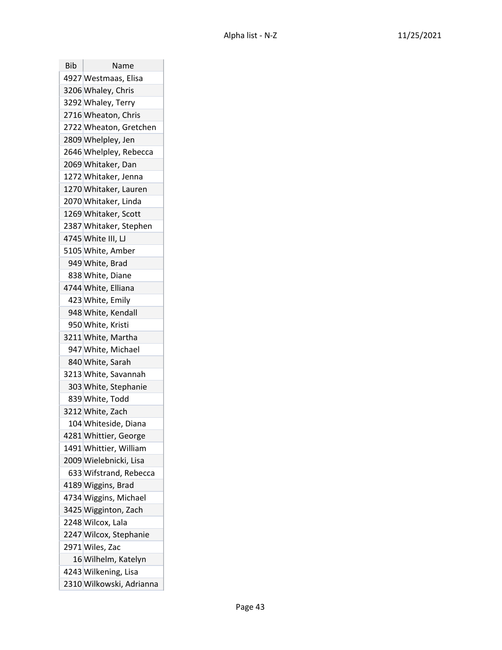| Bib | Name                     |
|-----|--------------------------|
|     | 4927 Westmaas, Elisa     |
|     | 3206 Whaley, Chris       |
|     | 3292 Whaley, Terry       |
|     | 2716 Wheaton, Chris      |
|     | 2722 Wheaton, Gretchen   |
|     | 2809 Whelpley, Jen       |
|     | 2646 Whelpley, Rebecca   |
|     | 2069 Whitaker, Dan       |
|     | 1272 Whitaker, Jenna     |
|     | 1270 Whitaker, Lauren    |
|     | 2070 Whitaker, Linda     |
|     | 1269 Whitaker, Scott     |
|     | 2387 Whitaker, Stephen   |
|     | 4745 White III, LJ       |
|     | 5105 White, Amber        |
|     | 949 White, Brad          |
|     | 838 White, Diane         |
|     | 4744 White, Elliana      |
|     | 423 White, Emily         |
|     | 948 White, Kendall       |
|     | 950 White, Kristi        |
|     | 3211 White, Martha       |
|     | 947 White, Michael       |
|     | 840 White, Sarah         |
|     | 3213 White, Savannah     |
|     | 303 White, Stephanie     |
|     | 839 White, Todd          |
|     | 3212 White, Zach         |
|     | 104 Whiteside, Diana     |
|     | 4281 Whittier, George    |
|     | 1491 Whittier, William   |
|     | 2009 Wielebnicki, Lisa   |
|     | 633 Wifstrand, Rebecca   |
|     | 4189 Wiggins, Brad       |
|     | 4734 Wiggins, Michael    |
|     | 3425 Wigginton, Zach     |
|     | 2248 Wilcox, Lala        |
|     | 2247 Wilcox, Stephanie   |
|     | 2971 Wiles, Zac          |
|     | 16 Wilhelm, Katelyn      |
|     | 4243 Wilkening, Lisa     |
|     | 2310 Wilkowski, Adrianna |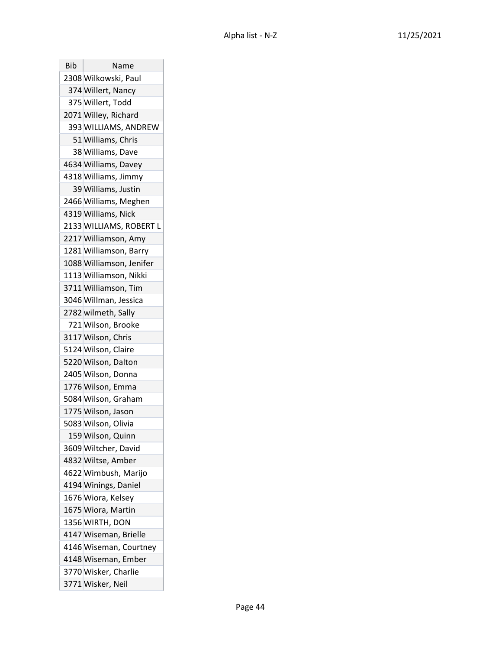| Bib | Name                     |
|-----|--------------------------|
|     | 2308 Wilkowski, Paul     |
|     | 374 Willert, Nancy       |
|     | 375 Willert, Todd        |
|     | 2071 Willey, Richard     |
|     | 393 WILLIAMS, ANDREW     |
|     | 51 Williams, Chris       |
|     | 38 Williams, Dave        |
|     | 4634 Williams, Davey     |
|     | 4318 Williams, Jimmy     |
|     | 39 Williams, Justin      |
|     | 2466 Williams, Meghen    |
|     | 4319 Williams, Nick      |
|     | 2133 WILLIAMS, ROBERT L  |
|     | 2217 Williamson, Amy     |
|     | 1281 Williamson, Barry   |
|     | 1088 Williamson, Jenifer |
|     | 1113 Williamson, Nikki   |
|     | 3711 Williamson, Tim     |
|     | 3046 Willman, Jessica    |
|     | 2782 wilmeth, Sally      |
|     | 721 Wilson, Brooke       |
|     | 3117 Wilson, Chris       |
|     | 5124 Wilson, Claire      |
|     | 5220 Wilson, Dalton      |
|     | 2405 Wilson, Donna       |
|     | 1776 Wilson, Emma        |
|     | 5084 Wilson, Graham      |
|     | 1775 Wilson, Jason       |
|     | 5083 Wilson, Olivia      |
|     | 159 Wilson, Quinn        |
|     | 3609 Wiltcher, David     |
|     | 4832 Wiltse, Amber       |
|     | 4622 Wimbush, Marijo     |
|     | 4194 Winings, Daniel     |
|     | 1676 Wiora, Kelsey       |
|     | 1675 Wiora, Martin       |
|     | 1356 WIRTH, DON          |
|     | 4147 Wiseman, Brielle    |
|     | 4146 Wiseman, Courtney   |
|     | 4148 Wiseman, Ember      |
|     | 3770 Wisker, Charlie     |
|     | 3771 Wisker, Neil        |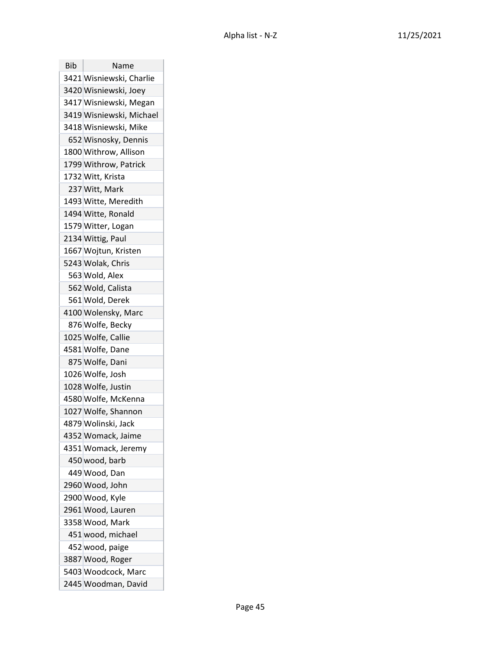| Bib | Name                     |
|-----|--------------------------|
|     | 3421 Wisniewski, Charlie |
|     | 3420 Wisniewski, Joey    |
|     | 3417 Wisniewski, Megan   |
|     | 3419 Wisniewski, Michael |
|     | 3418 Wisniewski, Mike    |
|     | 652 Wisnosky, Dennis     |
|     | 1800 Withrow, Allison    |
|     | 1799 Withrow, Patrick    |
|     | 1732 Witt, Krista        |
|     | 237 Witt, Mark           |
|     | 1493 Witte, Meredith     |
|     | 1494 Witte, Ronald       |
|     | 1579 Witter, Logan       |
|     | 2134 Wittig, Paul        |
|     | 1667 Wojtun, Kristen     |
|     | 5243 Wolak, Chris        |
|     | 563 Wold, Alex           |
|     | 562 Wold, Calista        |
|     | 561 Wold, Derek          |
|     | 4100 Wolensky, Marc      |
|     | 876 Wolfe, Becky         |
|     | 1025 Wolfe, Callie       |
|     | 4581 Wolfe, Dane         |
|     | 875 Wolfe, Dani          |
|     | 1026 Wolfe, Josh         |
|     | 1028 Wolfe, Justin       |
|     | 4580 Wolfe, McKenna      |
|     | 1027 Wolfe, Shannon      |
|     | 4879 Wolinski, Jack      |
|     | 4352 Womack, Jaime       |
|     | 4351 Womack, Jeremy      |
|     | 450 wood, barb           |
|     | 449 Wood, Dan            |
|     | 2960 Wood, John          |
|     | 2900 Wood, Kyle          |
|     | 2961 Wood, Lauren        |
|     | 3358 Wood, Mark          |
|     | 451 wood, michael        |
|     | 452 wood, paige          |
|     | 3887 Wood, Roger         |
|     | 5403 Woodcock, Marc      |
|     | 2445 Woodman, David      |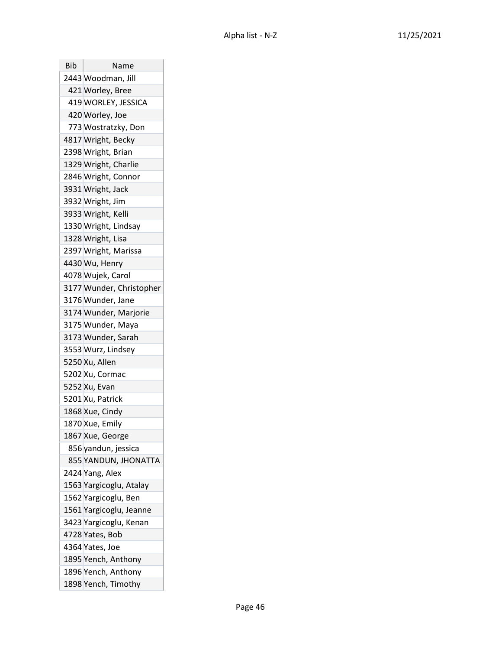| Bib | Name                     |
|-----|--------------------------|
|     | 2443 Woodman, Jill       |
|     | 421 Worley, Bree         |
|     | 419 WORLEY, JESSICA      |
|     | 420 Worley, Joe          |
|     | 773 Wostratzky, Don      |
|     | 4817 Wright, Becky       |
|     | 2398 Wright, Brian       |
|     | 1329 Wright, Charlie     |
|     | 2846 Wright, Connor      |
|     | 3931 Wright, Jack        |
|     | 3932 Wright, Jim         |
|     | 3933 Wright, Kelli       |
|     | 1330 Wright, Lindsay     |
|     | 1328 Wright, Lisa        |
|     | 2397 Wright, Marissa     |
|     | 4430 Wu, Henry           |
|     | 4078 Wujek, Carol        |
|     | 3177 Wunder, Christopher |
|     | 3176 Wunder, Jane        |
|     | 3174 Wunder, Marjorie    |
|     | 3175 Wunder, Maya        |
|     | 3173 Wunder, Sarah       |
|     | 3553 Wurz, Lindsey       |
|     | 5250 Xu, Allen           |
|     | 5202 Xu, Cormac          |
|     | 5252 Xu, Evan            |
|     | 5201 Xu, Patrick         |
|     | 1868 Xue, Cindy          |
|     | 1870 Xue, Emily          |
|     | 1867 Xue, George         |
|     | 856 yandun, jessica      |
|     | 855 YANDUN, JHONATTA     |
|     | 2424 Yang, Alex          |
|     | 1563 Yargicoglu, Atalay  |
|     | 1562 Yargicoglu, Ben     |
|     | 1561 Yargicoglu, Jeanne  |
|     | 3423 Yargicoglu, Kenan   |
|     | 4728 Yates, Bob          |
|     | 4364 Yates, Joe          |
|     | 1895 Yench, Anthony      |
|     | 1896 Yench, Anthony      |
|     | 1898 Yench, Timothy      |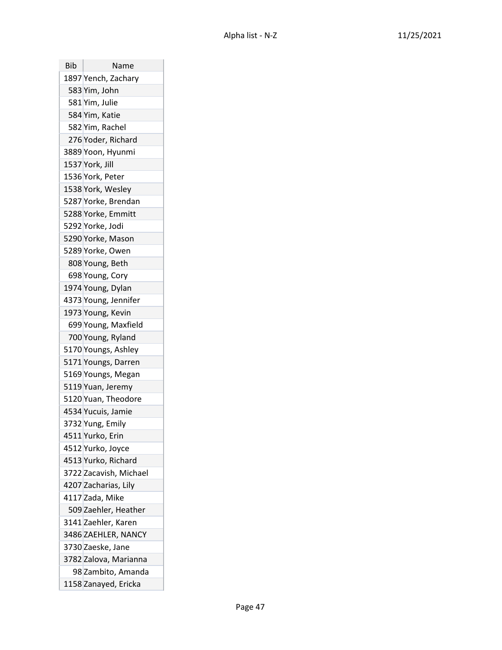| Bib | Name                   |
|-----|------------------------|
|     | 1897 Yench, Zachary    |
|     | 583 Yim, John          |
|     | 581 Yim, Julie         |
|     | 584 Yim, Katie         |
|     | 582 Yim, Rachel        |
|     | 276 Yoder, Richard     |
|     | 3889 Yoon, Hyunmi      |
|     | 1537 York, Jill        |
|     | 1536 York, Peter       |
|     | 1538 York, Wesley      |
|     | 5287 Yorke, Brendan    |
|     | 5288 Yorke, Emmitt     |
|     | 5292 Yorke, Jodi       |
|     | 5290 Yorke, Mason      |
|     | 5289 Yorke, Owen       |
|     | 808 Young, Beth        |
|     | 698 Young, Cory        |
|     | 1974 Young, Dylan      |
|     | 4373 Young, Jennifer   |
|     | 1973 Young, Kevin      |
|     | 699 Young, Maxfield    |
|     | 700 Young, Ryland      |
|     | 5170 Youngs, Ashley    |
|     | 5171 Youngs, Darren    |
|     | 5169 Youngs, Megan     |
|     | 5119 Yuan, Jeremy      |
|     | 5120 Yuan, Theodore    |
|     | 4534 Yucuis, Jamie     |
|     | 3732 Yung, Emily       |
|     | 4511 Yurko, Erin       |
|     | 4512 Yurko, Joyce      |
|     | 4513 Yurko, Richard    |
|     | 3722 Zacavish, Michael |
|     | 4207 Zacharias, Lily   |
|     | 4117 Zada, Mike        |
|     | 509 Zaehler, Heather   |
|     | 3141 Zaehler, Karen    |
|     | 3486 ZAEHLER, NANCY    |
|     | 3730 Zaeske, Jane      |
|     | 3782 Zalova, Marianna  |
|     | 98 Zambito, Amanda     |
|     | 1158 Zanayed, Ericka   |

 $\overline{1}$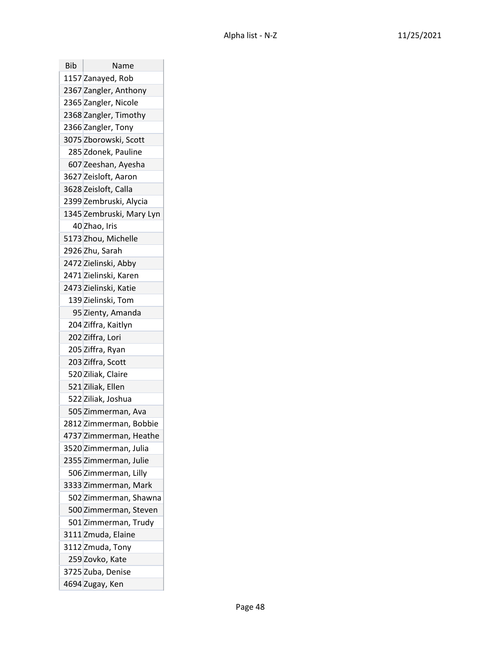| Bib | Name                     |
|-----|--------------------------|
|     | 1157 Zanayed, Rob        |
|     | 2367 Zangler, Anthony    |
|     | 2365 Zangler, Nicole     |
|     | 2368 Zangler, Timothy    |
|     | 2366 Zangler, Tony       |
|     | 3075 Zborowski, Scott    |
|     | 285 Zdonek, Pauline      |
|     | 607 Zeeshan, Ayesha      |
|     | 3627 Zeisloft, Aaron     |
|     | 3628 Zeisloft, Calla     |
|     | 2399 Zembruski, Alycia   |
|     | 1345 Zembruski, Mary Lyn |
|     | 40 Zhao, Iris            |
|     | 5173 Zhou, Michelle      |
|     | 2926 Zhu, Sarah          |
|     | 2472 Zielinski, Abby     |
|     | 2471 Zielinski, Karen    |
|     | 2473 Zielinski, Katie    |
|     | 139 Zielinski, Tom       |
|     | 95 Zienty, Amanda        |
|     | 204 Ziffra, Kaitlyn      |
|     | 202 Ziffra, Lori         |
|     | 205 Ziffra, Ryan         |
|     | 203 Ziffra, Scott        |
|     | 520 Ziliak, Claire       |
|     | 521 Ziliak, Ellen        |
|     | 522 Ziliak, Joshua       |
|     | 505 Zimmerman, Ava       |
|     | 2812 Zimmerman, Bobbie   |
|     | 4737 Zimmerman, Heathe   |
|     | 3520 Zimmerman, Julia    |
|     | 2355 Zimmerman, Julie    |
|     | 506 Zimmerman, Lilly     |
|     | 3333 Zimmerman, Mark     |
|     | 502 Zimmerman, Shawna    |
|     | 500 Zimmerman, Steven    |
|     | 501 Zimmerman, Trudy     |
|     | 3111 Zmuda, Elaine       |
|     | 3112 Zmuda, Tony         |
|     | 259 Zovko, Kate          |
|     | 3725 Zuba, Denise        |
|     | 4694 Zugay, Ken          |